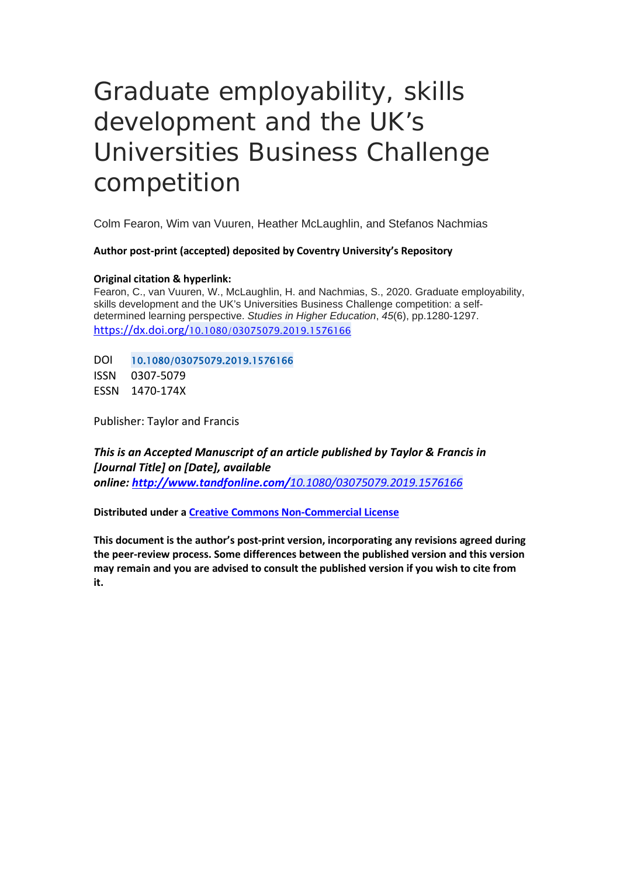# Graduate employability, skills development and the UK's Universities Business Challenge competition

Colm Fearon, Wim van Vuuren, Heather McLaughlin, and Stefanos Nachmias

**Author post-print (accepted) deposited by Coventry University's Repository**

#### **Original citation & hyperlink:**

Fearon, C., van Vuuren, W., McLaughlin, H. and Nachmias, S., 2020. Graduate employability, skills development and the UK's Universities Business Challenge competition: a selfdetermined learning perspective. *Studies in Higher Education*, *45*(6), pp.1280-1297. [https://dx.doi.org/](https://dx.doi.org/10.1080/03075079.2019.1576166)[10.1080/03075079.2019.1576166](https://dx.doi.org/10.1080/03075079.2019.1576166)

DOI 10.1080/03075079.2019.1576166 ISSN 0307-5079

ESSN 1470-174X

Publisher: Taylor and Francis

*This is an Accepted Manuscript of an article published by Taylor & Francis in [Journal Title] on [Date], available online: http://www.tandfonline.com/[10.1080/03075079.2019.1576166](http://www.tandfonline.com/10.1080/03075079.2019.1576166)*

**Distributed under [a Creative Commons Non-Commercial License](https://creativecommons.org/licenses/by-nc/4.0/)**

**This document is the author's post-print version, incorporating any revisions agreed during the peer-review process. Some differences between the published version and this version may remain and you are advised to consult the published version if you wish to cite from it.**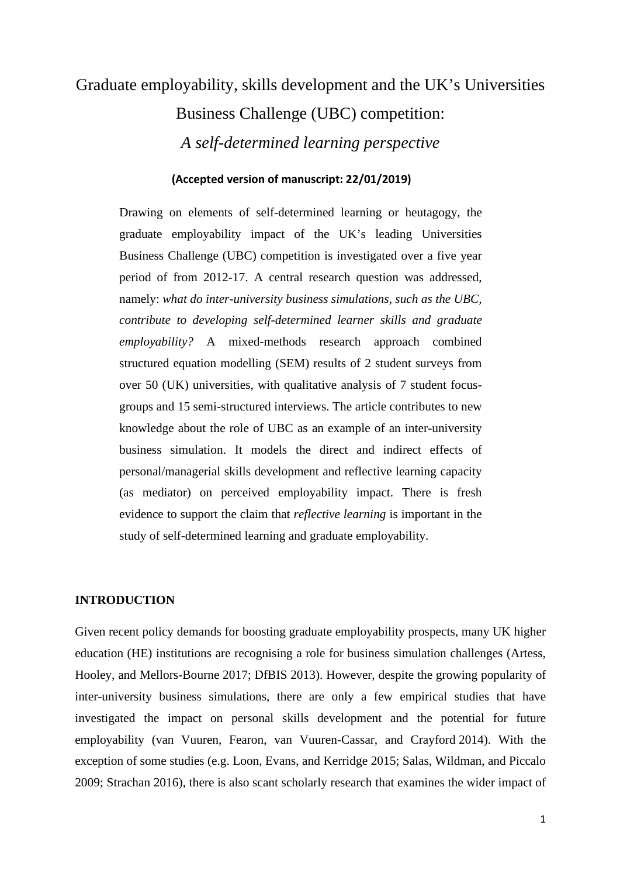## Graduate employability, skills development and the UK's Universities Business Challenge (UBC) competition: *A self-determined learning perspective*

#### **(Accepted version of manuscript: 22/01/2019)**

Drawing on elements of self-determined learning or heutagogy, the graduate employability impact of the UK's leading Universities Business Challenge (UBC) competition is investigated over a five year period of from 2012-17. A central research question was addressed, namely: *what do inter-university business simulations, such as the UBC, contribute to developing self-determined learner skills and graduate employability?* A mixed-methods research approach combined structured equation modelling (SEM) results of 2 student surveys from over 50 (UK) universities, with qualitative analysis of 7 student focusgroups and 15 semi-structured interviews. The article contributes to new knowledge about the role of UBC as an example of an inter-university business simulation. It models the direct and indirect effects of personal/managerial skills development and reflective learning capacity (as mediator) on perceived employability impact. There is fresh evidence to support the claim that *reflective learning* is important in the study of self-determined learning and graduate employability.

#### **INTRODUCTION**

Given recent policy demands for boosting graduate employability prospects, many UK higher education (HE) institutions are recognising a role for business simulation challenges (Artess, Hooley, and Mellors-Bourne 2017; DfBIS 2013). However, despite the growing popularity of inter-university business simulations, there are only a few empirical studies that have investigated the impact on personal skills development and the potential for future employability (van Vuuren, Fearon, van Vuuren-Cassar, and Crayford 2014). With the exception of some studies (e.g. Loon, Evans, and Kerridge 2015; Salas, Wildman, and Piccalo 2009; Strachan 2016), there is also scant scholarly research that examines the wider impact of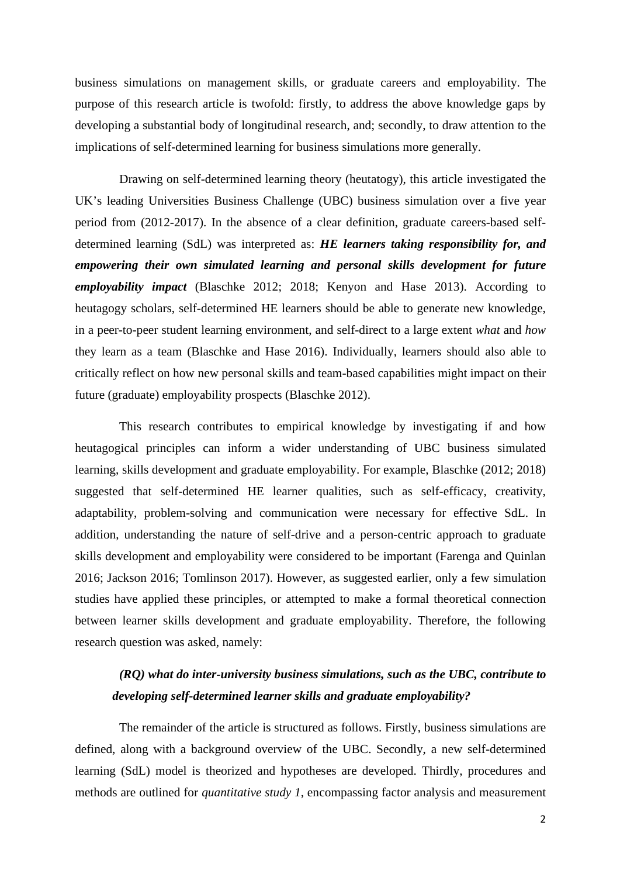business simulations on management skills, or graduate careers and employability. The purpose of this research article is twofold: firstly, to address the above knowledge gaps by developing a substantial body of longitudinal research, and; secondly, to draw attention to the implications of self-determined learning for business simulations more generally.

Drawing on self-determined learning theory (heutatogy), this article investigated the UK's leading Universities Business Challenge (UBC) business simulation over a five year period from (2012-2017). In the absence of a clear definition, graduate careers-based selfdetermined learning (SdL) was interpreted as: *HE learners taking responsibility for, and empowering their own simulated learning and personal skills development for future employability impact* (Blaschke 2012; 2018; Kenyon and Hase 2013). According to heutagogy scholars, self-determined HE learners should be able to generate new knowledge, in a peer-to-peer student learning environment, and self-direct to a large extent *what* and *how* they learn as a team (Blaschke and Hase 2016). Individually, learners should also able to critically reflect on how new personal skills and team-based capabilities might impact on their future (graduate) employability prospects (Blaschke 2012).

This research contributes to empirical knowledge by investigating if and how heutagogical principles can inform a wider understanding of UBC business simulated learning, skills development and graduate employability. For example, Blaschke (2012; 2018) suggested that self-determined HE learner qualities, such as self-efficacy, creativity, adaptability, problem-solving and communication were necessary for effective SdL. In addition, understanding the nature of self-drive and a person-centric approach to graduate skills development and employability were considered to be important (Farenga and Quinlan 2016; Jackson 2016; Tomlinson 2017). However, as suggested earlier, only a few simulation studies have applied these principles, or attempted to make a formal theoretical connection between learner skills development and graduate employability. Therefore, the following research question was asked, namely:

## *(RQ) what do inter-university business simulations, such as the UBC, contribute to developing self-determined learner skills and graduate employability?*

The remainder of the article is structured as follows. Firstly, business simulations are defined, along with a background overview of the UBC. Secondly, a new self-determined learning (SdL) model is theorized and hypotheses are developed. Thirdly, procedures and methods are outlined for *quantitative study 1*, encompassing factor analysis and measurement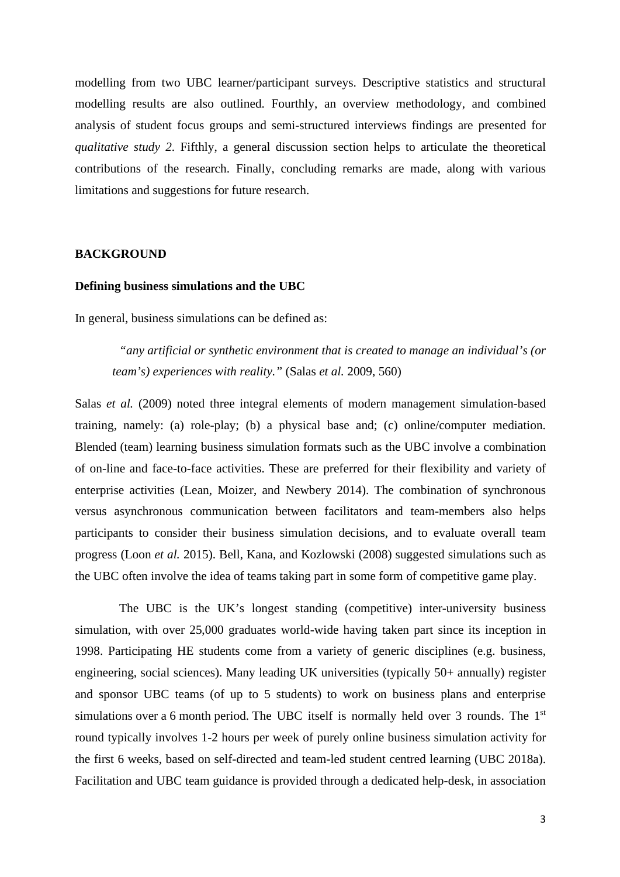modelling from two UBC learner/participant surveys. Descriptive statistics and structural modelling results are also outlined. Fourthly, an overview methodology, and combined analysis of student focus groups and semi-structured interviews findings are presented for *qualitative study 2*. Fifthly, a general discussion section helps to articulate the theoretical contributions of the research. Finally, concluding remarks are made, along with various limitations and suggestions for future research.

#### **BACKGROUND**

#### **Defining business simulations and the UBC**

In general, business simulations can be defined as:

*"any artificial or synthetic environment that is created to manage an individual's (or team's) experiences with reality."* (Salas *et al.* 2009, 560)

Salas *et al.* (2009) noted three integral elements of modern management simulation-based training, namely: (a) role-play; (b) a physical base and; (c) online/computer mediation. Blended (team) learning business simulation formats such as the UBC involve a combination of on-line and face-to-face activities. These are preferred for their flexibility and variety of enterprise activities (Lean, Moizer, and Newbery 2014). The combination of synchronous versus asynchronous communication between facilitators and team-members also helps participants to consider their business simulation decisions, and to evaluate overall team progress (Loon *et al.* 2015). Bell, Kana, and Kozlowski (2008) suggested simulations such as the UBC often involve the idea of teams taking part in some form of competitive game play.

The UBC is the UK's longest standing (competitive) inter-university business simulation, with over 25,000 graduates world-wide having taken part since its inception in 1998. Participating HE students come from a variety of generic disciplines (e.g. business, engineering, social sciences). Many leading UK universities (typically 50+ annually) register and sponsor UBC teams (of up to 5 students) to work on business plans and enterprise simulations over a 6 month period. The UBC itself is normally held over 3 rounds. The 1<sup>st</sup> round typically involves 1-2 hours per week of purely online business simulation activity for the first 6 weeks, based on self-directed and team-led student centred learning (UBC 2018a). Facilitation and UBC team guidance is provided through a dedicated help-desk, in association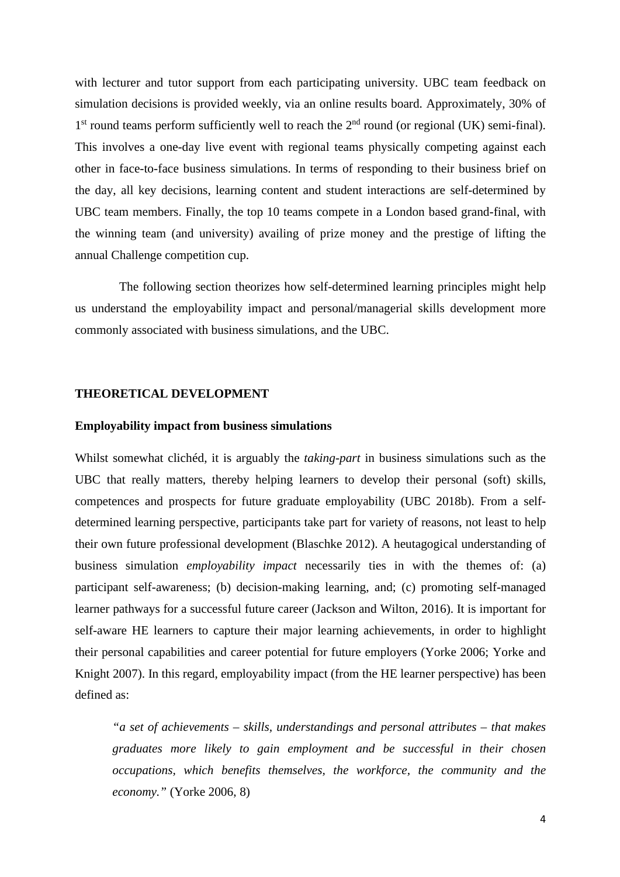with lecturer and tutor support from each participating university. UBC team feedback on simulation decisions is provided weekly, via an online results board. Approximately, 30% of  $1<sup>st</sup>$  round teams perform sufficiently well to reach the  $2<sup>nd</sup>$  round (or regional (UK) semi-final). This involves a one-day live event with regional teams physically competing against each other in face-to-face business simulations. In terms of responding to their business brief on the day, all key decisions, learning content and student interactions are self-determined by UBC team members. Finally, the top 10 teams compete in a London based grand-final, with the winning team (and university) availing of prize money and the prestige of lifting the annual Challenge competition cup.

The following section theorizes how self-determined learning principles might help us understand the employability impact and personal/managerial skills development more commonly associated with business simulations, and the UBC.

#### **THEORETICAL DEVELOPMENT**

#### **Employability impact from business simulations**

Whilst somewhat clichéd, it is arguably the *taking-part* in business simulations such as the UBC that really matters, thereby helping learners to develop their personal (soft) skills, competences and prospects for future graduate employability (UBC 2018b). From a selfdetermined learning perspective, participants take part for variety of reasons, not least to help their own future professional development (Blaschke 2012). A heutagogical understanding of business simulation *employability impact* necessarily ties in with the themes of: (a) participant self-awareness; (b) decision-making learning, and; (c) promoting self-managed learner pathways for a successful future career (Jackson and Wilton, 2016). It is important for self-aware HE learners to capture their major learning achievements, in order to highlight their personal capabilities and career potential for future employers (Yorke 2006; Yorke and Knight 2007). In this regard, employability impact (from the HE learner perspective) has been defined as:

*"a set of achievements – skills, understandings and personal attributes – that makes graduates more likely to gain employment and be successful in their chosen occupations, which benefits themselves, the workforce, the community and the economy."* (Yorke 2006, 8)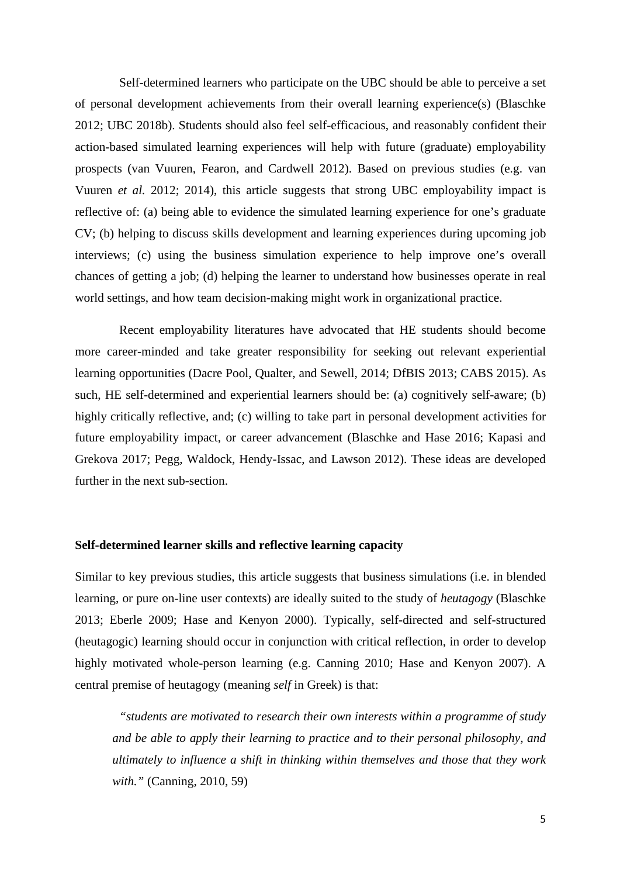Self-determined learners who participate on the UBC should be able to perceive a set of personal development achievements from their overall learning experience(s) (Blaschke 2012; UBC 2018b). Students should also feel self-efficacious, and reasonably confident their action-based simulated learning experiences will help with future (graduate) employability prospects (van Vuuren, Fearon, and Cardwell 2012). Based on previous studies (e.g. van Vuuren *et al.* 2012; 2014), this article suggests that strong UBC employability impact is reflective of: (a) being able to evidence the simulated learning experience for one's graduate CV; (b) helping to discuss skills development and learning experiences during upcoming job interviews; (c) using the business simulation experience to help improve one's overall chances of getting a job; (d) helping the learner to understand how businesses operate in real world settings, and how team decision-making might work in organizational practice.

Recent employability literatures have advocated that HE students should become more career-minded and take greater responsibility for seeking out relevant experiential learning opportunities (Dacre Pool, Qualter, and Sewell, 2014; DfBIS 2013; CABS 2015). As such, HE self-determined and experiential learners should be: (a) cognitively self-aware; (b) highly critically reflective, and; (c) willing to take part in personal development activities for future employability impact, or career advancement (Blaschke and Hase 2016; Kapasi and Grekova 2017; Pegg, Waldock, Hendy-Issac, and Lawson 2012). These ideas are developed further in the next sub-section.

#### **Self-determined learner skills and reflective learning capacity**

Similar to key previous studies, this article suggests that business simulations (i.e. in blended learning, or pure on-line user contexts) are ideally suited to the study of *heutagogy* (Blaschke 2013; Eberle 2009; Hase and Kenyon 2000). Typically, self-directed and self-structured (heutagogic) learning should occur in conjunction with critical reflection, in order to develop highly motivated whole-person learning (e.g. Canning 2010; Hase and Kenyon 2007). A central premise of heutagogy (meaning *self* in Greek) is that:

*"students are motivated to research their own interests within a programme of study and be able to apply their learning to practice and to their personal philosophy, and ultimately to influence a shift in thinking within themselves and those that they work with."* (Canning, 2010, 59)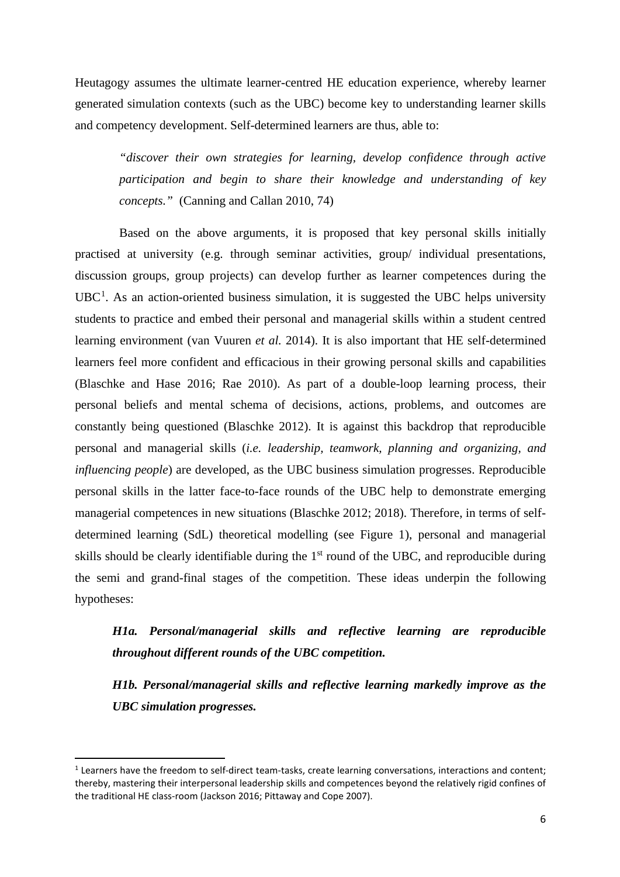Heutagogy assumes the ultimate learner-centred HE education experience, whereby learner generated simulation contexts (such as the UBC) become key to understanding learner skills and competency development. Self-determined learners are thus, able to:

*"discover their own strategies for learning, develop confidence through active participation and begin to share their knowledge and understanding of key concepts."* (Canning and Callan 2010, 74)

Based on the above arguments, it is proposed that key personal skills initially practised at university (e.g. through seminar activities, group/ individual presentations, discussion groups, group projects) can develop further as learner competences during the  $UBC<sup>1</sup>$  $UBC<sup>1</sup>$  $UBC<sup>1</sup>$ . As an action-oriented business simulation, it is suggested the UBC helps university students to practice and embed their personal and managerial skills within a student centred learning environment (van Vuuren *et al.* 2014). It is also important that HE self-determined learners feel more confident and efficacious in their growing personal skills and capabilities (Blaschke and Hase 2016; Rae 2010). As part of a double-loop learning process, their personal beliefs and mental schema of decisions, actions, problems, and outcomes are constantly being questioned (Blaschke 2012). It is against this backdrop that reproducible personal and managerial skills (*i.e. leadership, teamwork, planning and organizing, and influencing people*) are developed, as the UBC business simulation progresses. Reproducible personal skills in the latter face-to-face rounds of the UBC help to demonstrate emerging managerial competences in new situations (Blaschke 2012; 2018). Therefore, in terms of selfdetermined learning (SdL) theoretical modelling (see Figure 1), personal and managerial skills should be clearly identifiable during the 1<sup>st</sup> round of the UBC, and reproducible during the semi and grand-final stages of the competition. These ideas underpin the following hypotheses:

## *H1a. Personal/managerial skills and reflective learning are reproducible throughout different rounds of the UBC competition.*

*H1b. Personal/managerial skills and reflective learning markedly improve as the UBC simulation progresses.*

<span id="page-6-0"></span><sup>&</sup>lt;sup>1</sup> Learners have the freedom to self-direct team-tasks, create learning conversations, interactions and content; thereby, mastering their interpersonal leadership skills and competences beyond the relatively rigid confines of the traditional HE class-room (Jackson 2016; Pittaway and Cope 2007).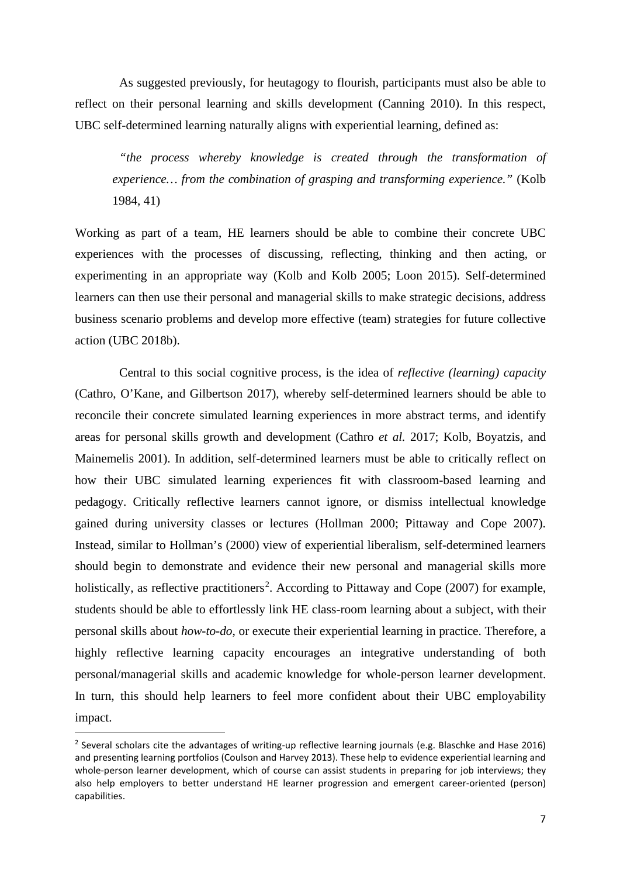As suggested previously, for heutagogy to flourish, participants must also be able to reflect on their personal learning and skills development (Canning 2010). In this respect, UBC self-determined learning naturally aligns with experiential learning*,* defined as:

*"the process whereby knowledge is created through the transformation of experience… from the combination of grasping and transforming experience."* (Kolb 1984, 41)

Working as part of a team, HE learners should be able to combine their concrete UBC experiences with the processes of discussing, reflecting, thinking and then acting, or experimenting in an appropriate way (Kolb and Kolb 2005; Loon 2015). Self-determined learners can then use their personal and managerial skills to make strategic decisions, address business scenario problems and develop more effective (team) strategies for future collective action (UBC 2018b).

Central to this social cognitive process, is the idea of *reflective (learning) capacity* (Cathro, O'Kane, and Gilbertson 2017), whereby self-determined learners should be able to reconcile their concrete simulated learning experiences in more abstract terms, and identify areas for personal skills growth and development (Cathro *et al.* 2017; Kolb, Boyatzis, and Mainemelis 2001). In addition, self-determined learners must be able to critically reflect on how their UBC simulated learning experiences fit with classroom-based learning and pedagogy. Critically reflective learners cannot ignore, or dismiss intellectual knowledge gained during university classes or lectures (Hollman 2000; Pittaway and Cope 2007). Instead, similar to Hollman's (2000) view of experiential liberalism, self-determined learners should begin to demonstrate and evidence their new personal and managerial skills more holistically, as reflective practitioners<sup>[2](#page-7-0)</sup>. According to Pittaway and Cope (2007) for example, students should be able to effortlessly link HE class-room learning about a subject, with their personal skills about *how-to-do*, or execute their experiential learning in practice. Therefore, a highly reflective learning capacity encourages an integrative understanding of both personal/managerial skills and academic knowledge for whole-person learner development. In turn, this should help learners to feel more confident about their UBC employability impact.

<span id="page-7-0"></span><sup>&</sup>lt;sup>2</sup> Several scholars cite the advantages of writing-up reflective learning journals (e.g. Blaschke and Hase 2016) and presenting learning portfolios (Coulson and Harvey 2013). These help to evidence experiential learning and whole-person learner development, which of course can assist students in preparing for job interviews; they also help employers to better understand HE learner progression and emergent career-oriented (person) capabilities.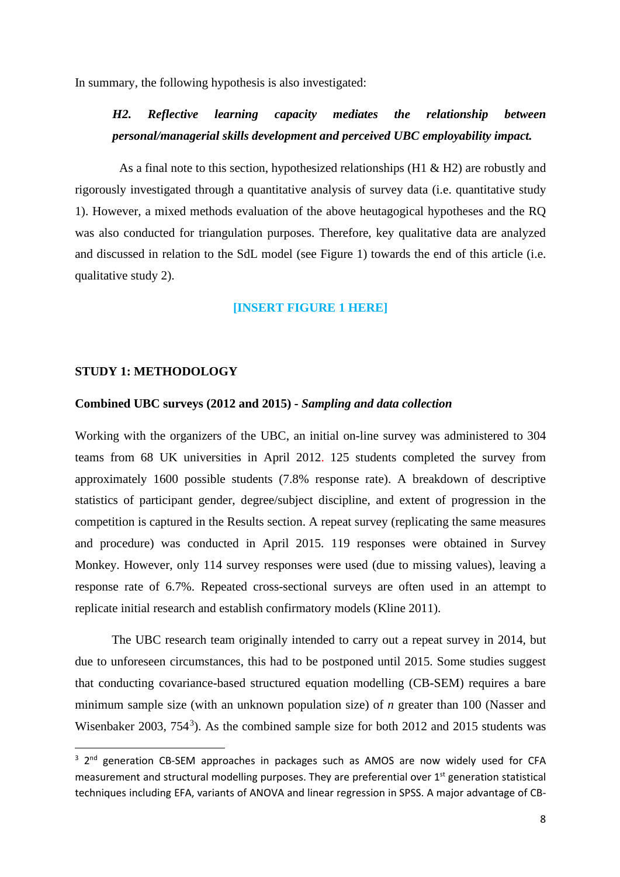In summary, the following hypothesis is also investigated:

## *H2. Reflective learning capacity mediates the relationship between personal/managerial skills development and perceived UBC employability impact.*

As a final note to this section, hypothesized relationships (H1 & H2) are robustly and rigorously investigated through a quantitative analysis of survey data (i.e. quantitative study 1). However, a mixed methods evaluation of the above heutagogical hypotheses and the RQ was also conducted for triangulation purposes. Therefore, key qualitative data are analyzed and discussed in relation to the SdL model (see Figure 1) towards the end of this article (i.e. qualitative study 2).

#### **[INSERT FIGURE 1 HERE]**

#### **STUDY 1: METHODOLOGY**

#### **Combined UBC surveys (2012 and 2015) -** *Sampling and data collection*

Working with the organizers of the UBC, an initial on-line survey was administered to 304 teams from 68 UK universities in April 2012. 125 students completed the survey from approximately 1600 possible students (7.8% response rate). A breakdown of descriptive statistics of participant gender, degree/subject discipline, and extent of progression in the competition is captured in the Results section. A repeat survey (replicating the same measures and procedure) was conducted in April 2015. 119 responses were obtained in Survey Monkey. However, only 114 survey responses were used (due to missing values), leaving a response rate of 6.7%. Repeated cross-sectional surveys are often used in an attempt to replicate initial research and establish confirmatory models (Kline 2011).

The UBC research team originally intended to carry out a repeat survey in 2014, but due to unforeseen circumstances, this had to be postponed until 2015. Some studies suggest that conducting covariance-based structured equation modelling (CB-SEM) requires a bare minimum sample size (with an unknown population size) of *n* greater than 100 (Nasser and Wisenbaker 200[3](#page-8-0), 754<sup>3</sup>). As the combined sample size for both 2012 and 2015 students was

<span id="page-8-0"></span><sup>&</sup>lt;sup>3</sup> 2<sup>nd</sup> generation CB-SEM approaches in packages such as AMOS are now widely used for CFA measurement and structural modelling purposes. They are preferential over 1<sup>st</sup> generation statistical techniques including EFA, variants of ANOVA and linear regression in SPSS. A major advantage of CB-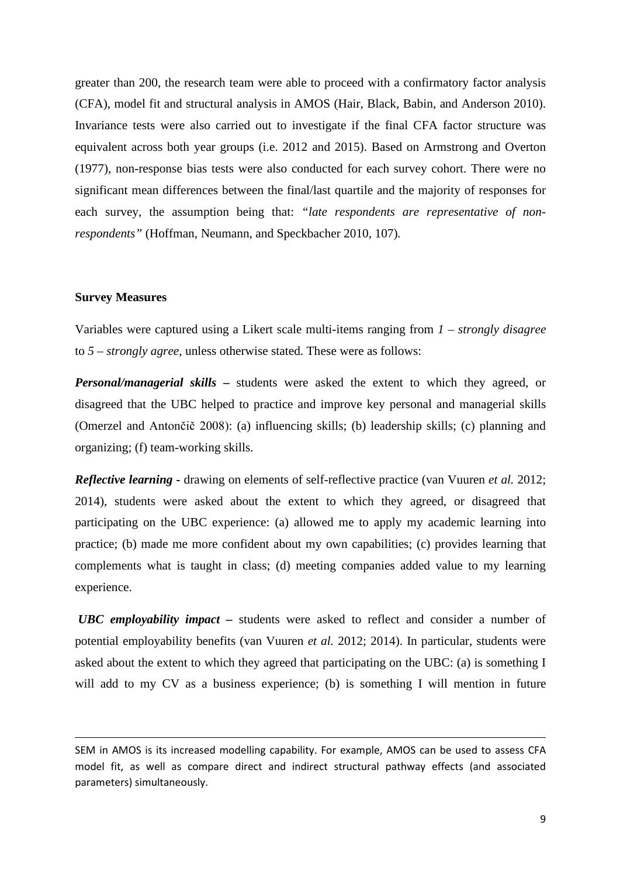greater than 200, the research team were able to proceed with a confirmatory factor analysis (CFA), model fit and structural analysis in AMOS (Hair, Black, Babin, and Anderson 2010). Invariance tests were also carried out to investigate if the final CFA factor structure was equivalent across both year groups (i.e. 2012 and 2015). Based on Armstrong and Overton (1977), non-response bias tests were also conducted for each survey cohort. There were no significant mean differences between the final/last quartile and the majority of responses for each survey, the assumption being that: *"late respondents are representative of nonrespondents"* (Hoffman, Neumann, and Speckbacher 2010, 107)*.* 

#### **Survey Measures**

Variables were captured using a Likert scale multi-items ranging from *1 – strongly disagree* to *5 – strongly agree,* unless otherwise stated. These were as follows:

*Personal/managerial skills –* students were asked the extent to which they agreed, or disagreed that the UBC helped to practice and improve key personal and managerial skills (Omerzel and Antončič 2008): (a) influencing skills; (b) leadership skills; (c) planning and organizing; (f) team-working skills.

*Reflective learning -* drawing on elements of self-reflective practice (van Vuuren *et al.* 2012; 2014), students were asked about the extent to which they agreed, or disagreed that participating on the UBC experience: (a) allowed me to apply my academic learning into practice; (b) made me more confident about my own capabilities; (c) provides learning that complements what is taught in class; (d) meeting companies added value to my learning experience.

*UBC employability impact –* students were asked to reflect and consider a number of potential employability benefits (van Vuuren *et al.* 2012; 2014). In particular, students were asked about the extent to which they agreed that participating on the UBC: (a) is something I will add to my CV as a business experience; (b) is something I will mention in future

SEM in AMOS is its increased modelling capability. For example, AMOS can be used to assess CFA model fit, as well as compare direct and indirect structural pathway effects (and associated parameters) simultaneously.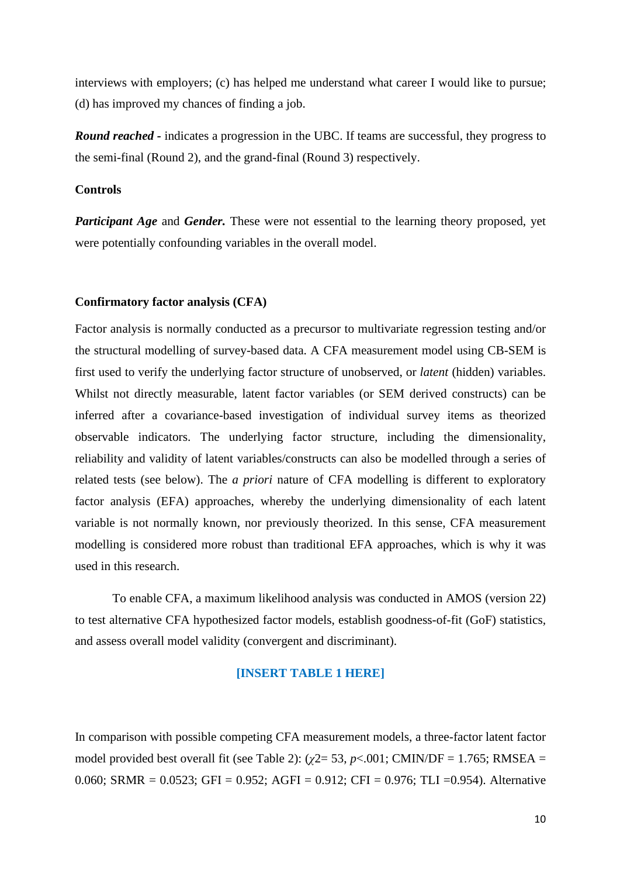interviews with employers; (c) has helped me understand what career I would like to pursue; (d) has improved my chances of finding a job.

*Round reached -* indicates a progression in the UBC. If teams are successful, they progress to the semi-final (Round 2), and the grand-final (Round 3) respectively.

#### **Controls**

*Participant Age* and *Gender.* These were not essential to the learning theory proposed, yet were potentially confounding variables in the overall model.

#### **Confirmatory factor analysis (CFA)**

Factor analysis is normally conducted as a precursor to multivariate regression testing and/or the structural modelling of survey-based data. A CFA measurement model using CB-SEM is first used to verify the underlying factor structure of unobserved, or *latent* (hidden) variables. Whilst not directly measurable, latent factor variables (or SEM derived constructs) can be inferred after a covariance-based investigation of individual survey items as theorized observable indicators. The underlying factor structure, including the dimensionality, reliability and validity of latent variables/constructs can also be modelled through a series of related tests (see below). The *a priori* nature of CFA modelling is different to exploratory factor analysis (EFA) approaches, whereby the underlying dimensionality of each latent variable is not normally known, nor previously theorized. In this sense, CFA measurement modelling is considered more robust than traditional EFA approaches, which is why it was used in this research.

To enable CFA, a maximum likelihood analysis was conducted in AMOS (version 22) to test alternative CFA hypothesized factor models, establish goodness-of-fit (GoF) statistics*,*  and assess overall model validity (convergent and discriminant).

#### **[INSERT TABLE 1 HERE]**

In comparison with possible competing CFA measurement models, a three-factor latent factor model provided best overall fit (see Table 2):  $(\gamma 2 = 53, p < .001;$  CMIN/DF = 1.765; RMSEA = 0.060; SRMR = 0.0523; GFI = 0.952; AGFI = 0.912; CFI = 0.976; TLI = 0.954). Alternative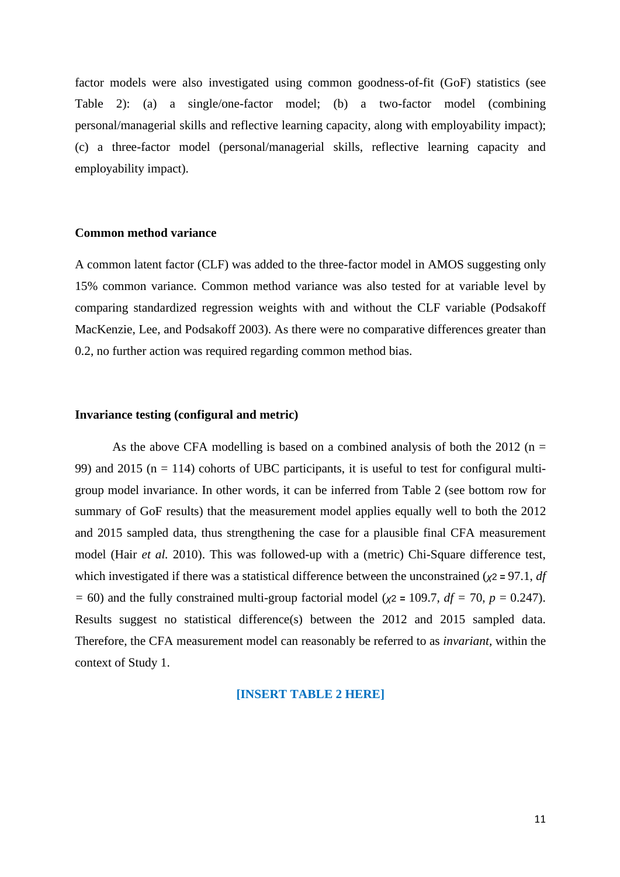factor models were also investigated using common goodness-of-fit (GoF) statistics (see Table 2): (a) a single/one-factor model; (b) a two-factor model (combining personal/managerial skills and reflective learning capacity, along with employability impact); (c) a three-factor model (personal/managerial skills, reflective learning capacity and employability impact).

#### **Common method variance**

A common latent factor (CLF) was added to the three-factor model in AMOS suggesting only 15% common variance. Common method variance was also tested for at variable level by comparing standardized regression weights with and without the CLF variable (Podsakoff MacKenzie, Lee, and Podsakoff 2003). As there were no comparative differences greater than 0.2, no further action was required regarding common method bias.

#### **Invariance testing (configural and metric)**

As the above CFA modelling is based on a combined analysis of both the 2012 ( $n =$ 99) and 2015 ( $n = 114$ ) cohorts of UBC participants, it is useful to test for configural multigroup model invariance. In other words, it can be inferred from Table 2 (see bottom row for summary of GoF results) that the measurement model applies equally well to both the 2012 and 2015 sampled data, thus strengthening the case for a plausible final CFA measurement model (Hair *et al.* 2010). This was followed-up with a (metric) Chi-Square difference test, which investigated if there was a statistical difference between the unconstrained (*χ*2 **=** 97.1, *df =* 60) and the fully constrained multi-group factorial model (*χ*2 **=** 109.7, *df =* 70, *p* = 0.247). Results suggest no statistical difference(s) between the 2012 and 2015 sampled data. Therefore, the CFA measurement model can reasonably be referred to as *invariant,* within the context of Study 1.

#### **[INSERT TABLE 2 HERE]**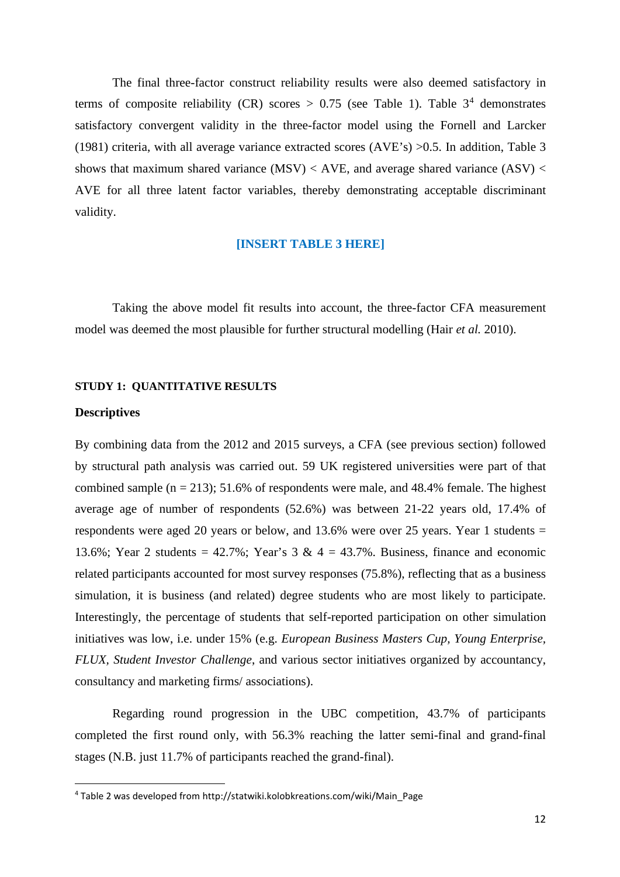The final three-factor construct reliability results were also deemed satisfactory in terms of composite reliability (CR) scores  $> 0.75$  (see Table 1). Table 3<sup>[4](#page-12-0)</sup> demonstrates satisfactory convergent validity in the three-factor model using the Fornell and Larcker (1981) criteria, with all average variance extracted scores (AVE's) >0.5. In addition, Table 3 shows that maximum shared variance  $(MSV) < AVE$ , and average shared variance  $(ASV) <$ AVE for all three latent factor variables, thereby demonstrating acceptable discriminant validity.

#### **[INSERT TABLE 3 HERE]**

Taking the above model fit results into account, the three-factor CFA measurement model was deemed the most plausible for further structural modelling (Hair *et al.* 2010).

#### **STUDY 1: QUANTITATIVE RESULTS**

#### **Descriptives**

By combining data from the 2012 and 2015 surveys, a CFA (see previous section) followed by structural path analysis was carried out. 59 UK registered universities were part of that combined sample  $(n = 213)$ ; 51.6% of respondents were male, and 48.4% female. The highest average age of number of respondents (52.6%) was between 21-22 years old, 17.4% of respondents were aged 20 years or below, and  $13.6\%$  were over 25 years. Year 1 students = 13.6%; Year 2 students =  $42.7\%$ ; Year's 3 &  $4 = 43.7\%$ . Business, finance and economic related participants accounted for most survey responses (75.8%), reflecting that as a business simulation, it is business (and related) degree students who are most likely to participate. Interestingly, the percentage of students that self-reported participation on other simulation initiatives was low, i.e. under 15% (e.g. *European Business Masters Cup, Young Enterprise, FLUX, Student Investor Challenge*, and various sector initiatives organized by accountancy, consultancy and marketing firms/ associations).

Regarding round progression in the UBC competition, 43.7% of participants completed the first round only, with 56.3% reaching the latter semi-final and grand-final stages (N.B. just 11.7% of participants reached the grand-final).

<span id="page-12-0"></span><sup>4</sup> Table 2 was developed from http://statwiki.kolobkreations.com/wiki/Main\_Page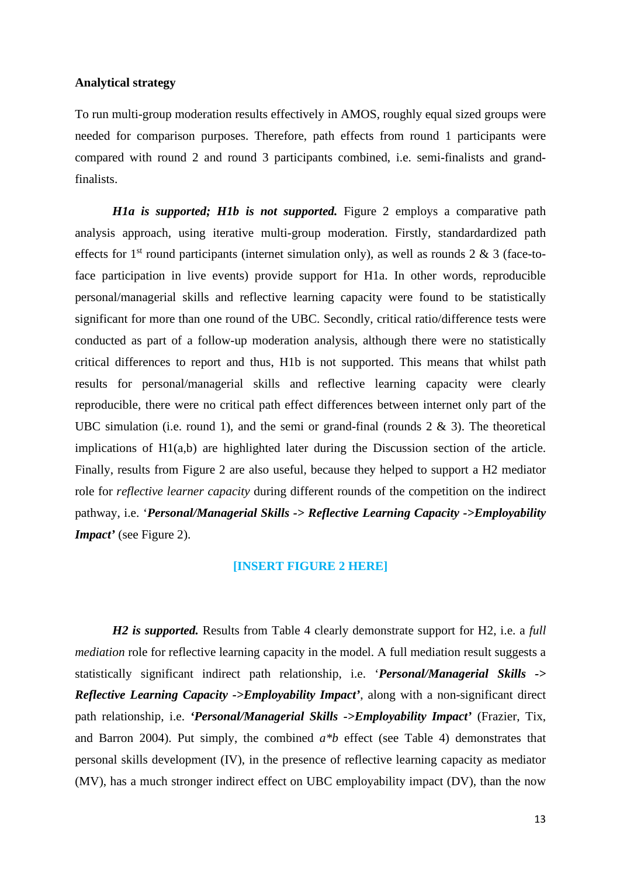#### **Analytical strategy**

To run multi-group moderation results effectively in AMOS, roughly equal sized groups were needed for comparison purposes. Therefore, path effects from round 1 participants were compared with round 2 and round 3 participants combined, i.e. semi-finalists and grandfinalists.

*H1a is supported; H1b is not supported.* Figure 2 employs a comparative path analysis approach, using iterative multi-group moderation. Firstly, standardardized path effects for 1<sup>st</sup> round participants (internet simulation only), as well as rounds 2  $\&$  3 (face-toface participation in live events) provide support for H1a. In other words, reproducible personal/managerial skills and reflective learning capacity were found to be statistically significant for more than one round of the UBC. Secondly, critical ratio/difference tests were conducted as part of a follow-up moderation analysis, although there were no statistically critical differences to report and thus, H1b is not supported. This means that whilst path results for personal/managerial skills and reflective learning capacity were clearly reproducible, there were no critical path effect differences between internet only part of the UBC simulation (i.e. round 1), and the semi or grand-final (rounds  $2 \& 3$ ). The theoretical implications of H1(a,b) are highlighted later during the Discussion section of the article. Finally, results from Figure 2 are also useful, because they helped to support a H2 mediator role for *reflective learner capacity* during different rounds of the competition on the indirect pathway, i.e. '*Personal/Managerial Skills -> Reflective Learning Capacity ->Employability Impact'* (see Figure 2).

#### **[INSERT FIGURE 2 HERE]**

*H2 is supported.* Results from Table 4 clearly demonstrate support for H2, i.e. a *full mediation* role for reflective learning capacity in the model. A full mediation result suggests a statistically significant indirect path relationship, i.e. '*Personal/Managerial Skills -> Reflective Learning Capacity ->Employability Impact'*, along with a non-significant direct path relationship, i.e. *'Personal/Managerial Skills ->Employability Impact'* (Frazier, Tix, and Barron 2004). Put simply, the combined *a\*b* effect (see Table 4) demonstrates that personal skills development (IV), in the presence of reflective learning capacity as mediator (MV), has a much stronger indirect effect on UBC employability impact (DV), than the now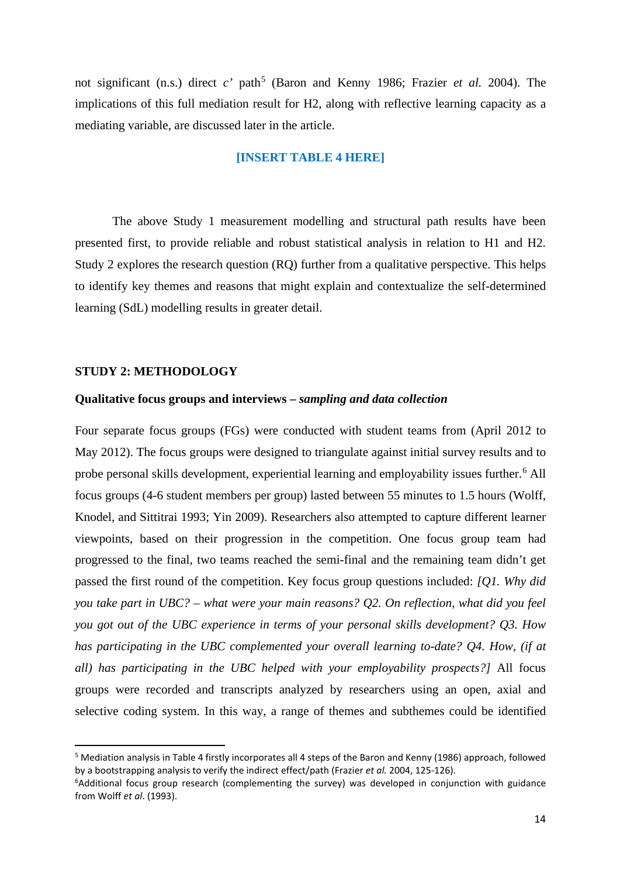not significant (n.s.) direct  $c'$  path<sup>[5](#page-14-0)</sup> (Baron and Kenny 1986; Frazier *et al.* 2004). The implications of this full mediation result for H2, along with reflective learning capacity as a mediating variable, are discussed later in the article.

#### **[INSERT TABLE 4 HERE]**

The above Study 1 measurement modelling and structural path results have been presented first, to provide reliable and robust statistical analysis in relation to H1 and H2. Study 2 explores the research question (RQ) further from a qualitative perspective. This helps to identify key themes and reasons that might explain and contextualize the self-determined learning (SdL) modelling results in greater detail.

#### **STUDY 2: METHODOLOGY**

#### **Qualitative focus groups and interviews –** *sampling and data collection*

Four separate focus groups (FGs) were conducted with student teams from (April 2012 to May 2012). The focus groups were designed to triangulate against initial survey results and to probe personal skills development, experiential learning and employability issues further.<sup>[6](#page-14-1)</sup> All focus groups (4-6 student members per group) lasted between 55 minutes to 1.5 hours (Wolff, Knodel, and Sittitrai 1993; Yin 2009). Researchers also attempted to capture different learner viewpoints, based on their progression in the competition. One focus group team had progressed to the final, two teams reached the semi-final and the remaining team didn't get passed the first round of the competition. Key focus group questions included: *[Q1. Why did you take part in UBC? – what were your main reasons? Q2. On reflection, what did you feel you got out of the UBC experience in terms of your personal skills development? Q3. How has participating in the UBC complemented your overall learning to-date? Q4. How, (if at all) has participating in the UBC helped with your employability prospects?]* All focus groups were recorded and transcripts analyzed by researchers using an open, axial and selective coding system. In this way, a range of themes and subthemes could be identified

<span id="page-14-0"></span><sup>5</sup> Mediation analysis in Table 4 firstly incorporates all 4 steps of the Baron and Kenny (1986) approach, followed by a bootstrapping analysis to verify the indirect effect/path (Frazier *et al.* 2004, 125-126).

<span id="page-14-1"></span><sup>&</sup>lt;sup>6</sup>Additional focus group research (complementing the survey) was developed in conjunction with guidance from Wolff *et al*. (1993).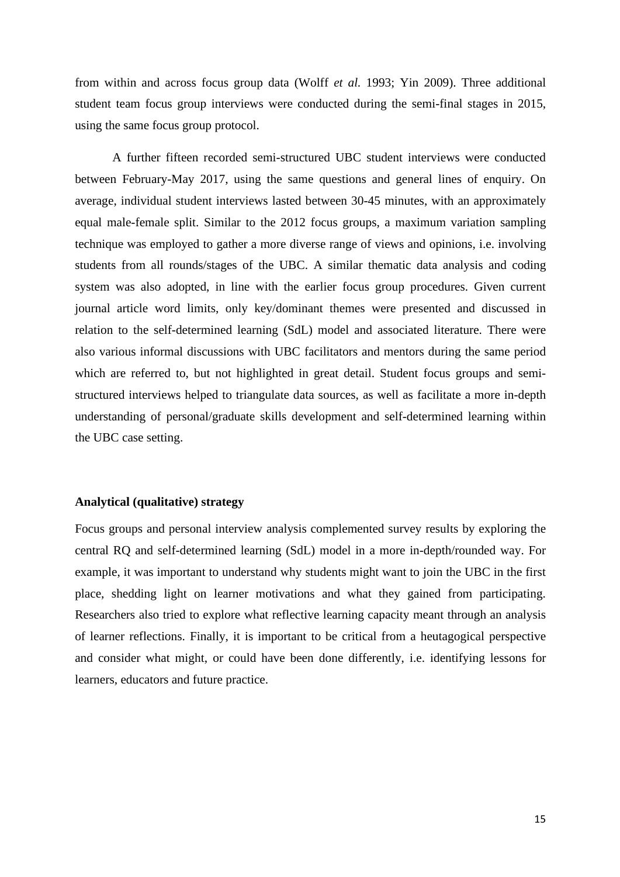from within and across focus group data (Wolff *et al.* 1993; Yin 2009). Three additional student team focus group interviews were conducted during the semi-final stages in 2015, using the same focus group protocol.

A further fifteen recorded semi-structured UBC student interviews were conducted between February-May 2017, using the same questions and general lines of enquiry. On average, individual student interviews lasted between 30-45 minutes, with an approximately equal male-female split. Similar to the 2012 focus groups, a maximum variation sampling technique was employed to gather a more diverse range of views and opinions, i.e. involving students from all rounds/stages of the UBC. A similar thematic data analysis and coding system was also adopted, in line with the earlier focus group procedures. Given current journal article word limits, only key/dominant themes were presented and discussed in relation to the self-determined learning (SdL) model and associated literature. There were also various informal discussions with UBC facilitators and mentors during the same period which are referred to, but not highlighted in great detail. Student focus groups and semistructured interviews helped to triangulate data sources, as well as facilitate a more in-depth understanding of personal/graduate skills development and self-determined learning within the UBC case setting.

#### **Analytical (qualitative) strategy**

Focus groups and personal interview analysis complemented survey results by exploring the central RQ and self-determined learning (SdL) model in a more in-depth/rounded way. For example, it was important to understand why students might want to join the UBC in the first place, shedding light on learner motivations and what they gained from participating. Researchers also tried to explore what reflective learning capacity meant through an analysis of learner reflections. Finally, it is important to be critical from a heutagogical perspective and consider what might, or could have been done differently, i.e. identifying lessons for learners, educators and future practice.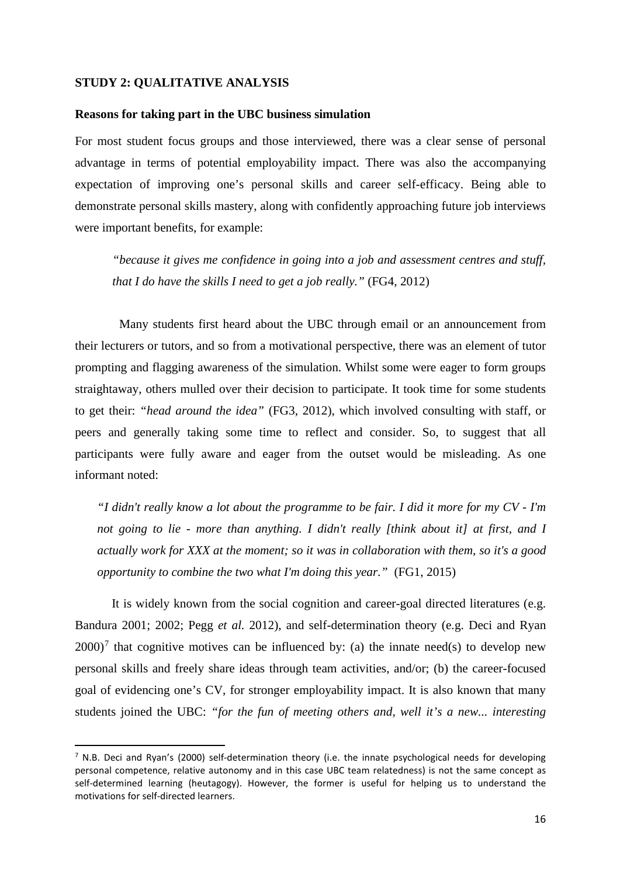#### **STUDY 2: QUALITATIVE ANALYSIS**

#### **Reasons for taking part in the UBC business simulation**

For most student focus groups and those interviewed, there was a clear sense of personal advantage in terms of potential employability impact. There was also the accompanying expectation of improving one's personal skills and career self-efficacy. Being able to demonstrate personal skills mastery, along with confidently approaching future job interviews were important benefits, for example:

*"because it gives me confidence in going into a job and assessment centres and stuff, that I do have the skills I need to get a job really."* (FG4, 2012)

Many students first heard about the UBC through email or an announcement from their lecturers or tutors, and so from a motivational perspective, there was an element of tutor prompting and flagging awareness of the simulation. Whilst some were eager to form groups straightaway, others mulled over their decision to participate. It took time for some students to get their: *"head around the idea"* (FG3, 2012), which involved consulting with staff, or peers and generally taking some time to reflect and consider. So, to suggest that all participants were fully aware and eager from the outset would be misleading. As one informant noted:

*"I didn't really know a lot about the programme to be fair. I did it more for my CV - I'm not going to lie - more than anything. I didn't really [think about it] at first, and I actually work for XXX at the moment; so it was in collaboration with them, so it's a good opportunity to combine the two what I'm doing this year."* (FG1, 2015)

It is widely known from the social cognition and career-goal directed literatures (e.g. Bandura 2001; 2002; Pegg *et al.* 2012), and self-determination theory (e.g. Deci and Ryan  $2000$ <sup>[7](#page-16-0)</sup> that cognitive motives can be influenced by: (a) the innate need(s) to develop new personal skills and freely share ideas through team activities, and/or; (b) the career-focused goal of evidencing one's CV, for stronger employability impact. It is also known that many students joined the UBC: *"for the fun of meeting others and, well it's a new... interesting* 

<span id="page-16-0"></span> $7$  N.B. Deci and Ryan's (2000) self-determination theory (i.e. the innate psychological needs for developing personal competence, relative autonomy and in this case UBC team relatedness) is not the same concept as self-determined learning (heutagogy). However, the former is useful for helping us to understand the motivations for self-directed learners.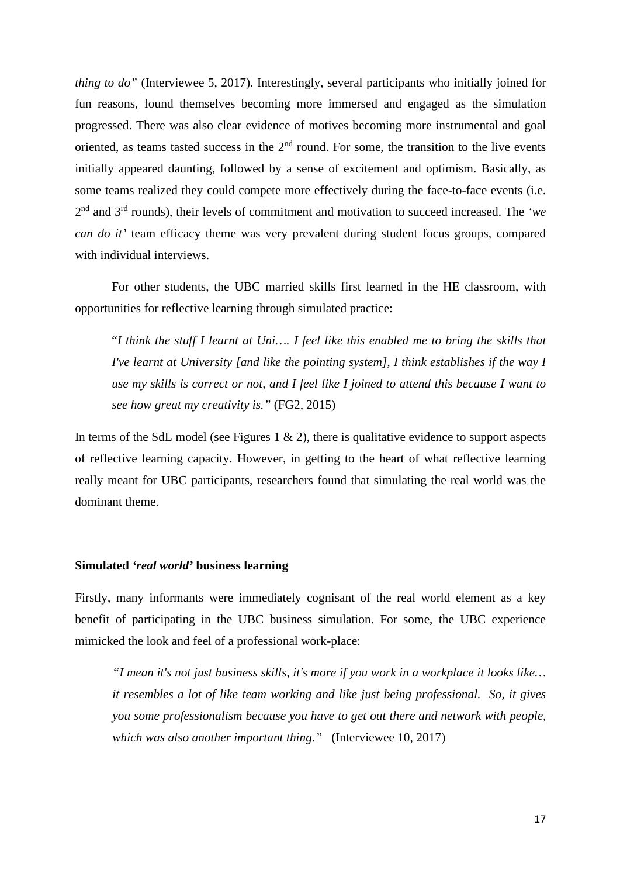*thing to do"* (Interviewee 5, 2017). Interestingly, several participants who initially joined for fun reasons, found themselves becoming more immersed and engaged as the simulation progressed. There was also clear evidence of motives becoming more instrumental and goal oriented, as teams tasted success in the  $2<sup>nd</sup>$  round. For some, the transition to the live events initially appeared daunting, followed by a sense of excitement and optimism. Basically, as some teams realized they could compete more effectively during the face-to-face events (i.e. 2nd and 3rd rounds), their levels of commitment and motivation to succeed increased. The *'we can do it'* team efficacy theme was very prevalent during student focus groups, compared with individual interviews.

For other students, the UBC married skills first learned in the HE classroom, with opportunities for reflective learning through simulated practice:

"*I think the stuff I learnt at Uni…. I feel like this enabled me to bring the skills that I've learnt at University [and like the pointing system], I think establishes if the way I use my skills is correct or not, and I feel like I joined to attend this because I want to see how great my creativity is."* (FG2, 2015)

In terms of the SdL model (see Figures 1  $\&$  2), there is qualitative evidence to support aspects of reflective learning capacity. However, in getting to the heart of what reflective learning really meant for UBC participants, researchers found that simulating the real world was the dominant theme.

#### **Simulated** *'real world'* **business learning**

Firstly, many informants were immediately cognisant of the real world element as a key benefit of participating in the UBC business simulation. For some, the UBC experience mimicked the look and feel of a professional work-place:

*"I mean it's not just business skills, it's more if you work in a workplace it looks like… it resembles a lot of like team working and like just being professional. So, it gives you some professionalism because you have to get out there and network with people, which was also another important thing."* (Interviewee 10, 2017)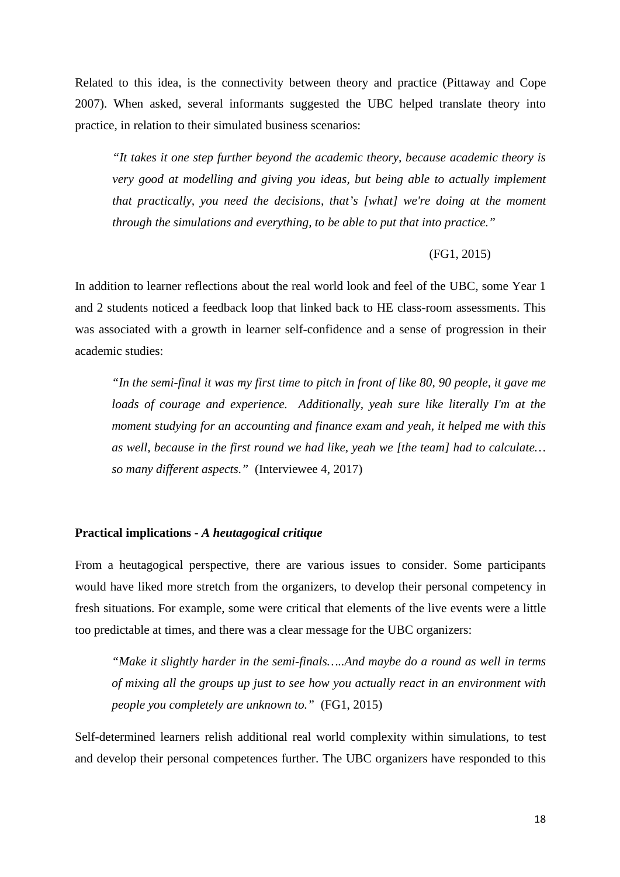Related to this idea, is the connectivity between theory and practice (Pittaway and Cope 2007). When asked, several informants suggested the UBC helped translate theory into practice, in relation to their simulated business scenarios:

*"It takes it one step further beyond the academic theory, because academic theory is very good at modelling and giving you ideas, but being able to actually implement that practically, you need the decisions, that's [what] we're doing at the moment through the simulations and everything, to be able to put that into practice."*

#### (FG1, 2015)

In addition to learner reflections about the real world look and feel of the UBC, some Year 1 and 2 students noticed a feedback loop that linked back to HE class-room assessments. This was associated with a growth in learner self-confidence and a sense of progression in their academic studies:

*"In the semi-final it was my first time to pitch in front of like 80, 90 people, it gave me loads of courage and experience. Additionally, yeah sure like literally I'm at the moment studying for an accounting and finance exam and yeah, it helped me with this as well, because in the first round we had like, yeah we [the team] had to calculate… so many different aspects."* (Interviewee 4, 2017)

#### **Practical implications -** *A heutagogical critique*

From a heutagogical perspective, there are various issues to consider. Some participants would have liked more stretch from the organizers, to develop their personal competency in fresh situations. For example, some were critical that elements of the live events were a little too predictable at times, and there was a clear message for the UBC organizers:

*"Make it slightly harder in the semi-finals…..And maybe do a round as well in terms of mixing all the groups up just to see how you actually react in an environment with people you completely are unknown to."* (FG1, 2015)

Self-determined learners relish additional real world complexity within simulations, to test and develop their personal competences further. The UBC organizers have responded to this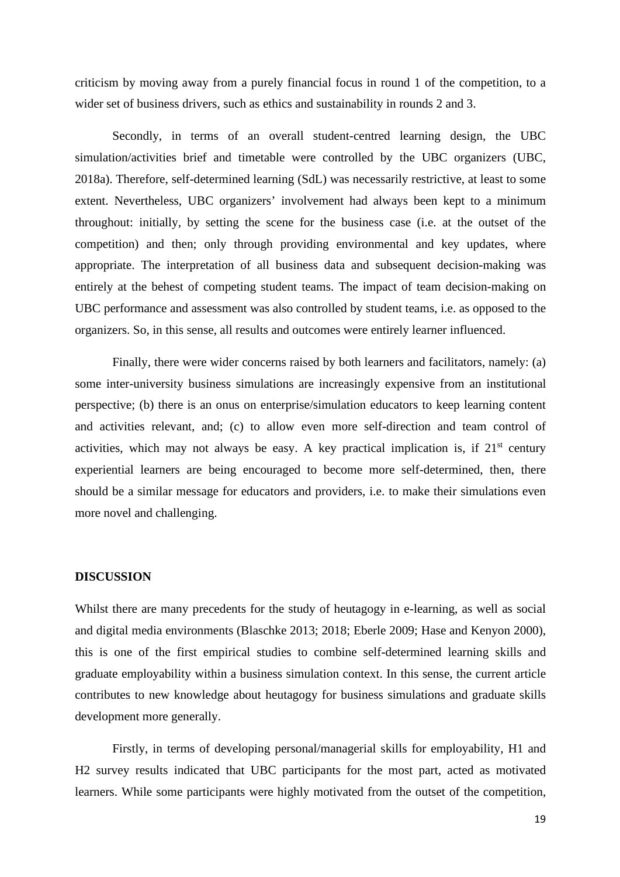criticism by moving away from a purely financial focus in round 1 of the competition, to a wider set of business drivers, such as ethics and sustainability in rounds 2 and 3.

Secondly, in terms of an overall student-centred learning design, the UBC simulation/activities brief and timetable were controlled by the UBC organizers (UBC, 2018a). Therefore, self-determined learning (SdL) was necessarily restrictive, at least to some extent. Nevertheless, UBC organizers' involvement had always been kept to a minimum throughout: initially, by setting the scene for the business case (i.e. at the outset of the competition) and then; only through providing environmental and key updates*,* where appropriate. The interpretation of all business data and subsequent decision-making was entirely at the behest of competing student teams. The impact of team decision-making on UBC performance and assessment was also controlled by student teams, i.e. as opposed to the organizers. So, in this sense, all results and outcomes were entirely learner influenced.

Finally, there were wider concerns raised by both learners and facilitators, namely: (a) some inter-university business simulations are increasingly expensive from an institutional perspective; (b) there is an onus on enterprise/simulation educators to keep learning content and activities relevant, and; (c) to allow even more self-direction and team control of activities, which may not always be easy. A key practical implication is, if  $21<sup>st</sup>$  century experiential learners are being encouraged to become more self-determined, then, there should be a similar message for educators and providers, i.e. to make their simulations even more novel and challenging.

#### **DISCUSSION**

Whilst there are many precedents for the study of heutagogy in e-learning, as well as social and digital media environments (Blaschke 2013; 2018; Eberle 2009; Hase and Kenyon 2000), this is one of the first empirical studies to combine self-determined learning skills and graduate employability within a business simulation context. In this sense, the current article contributes to new knowledge about heutagogy for business simulations and graduate skills development more generally.

Firstly, in terms of developing personal/managerial skills for employability, H1 and H2 survey results indicated that UBC participants for the most part, acted as motivated learners. While some participants were highly motivated from the outset of the competition,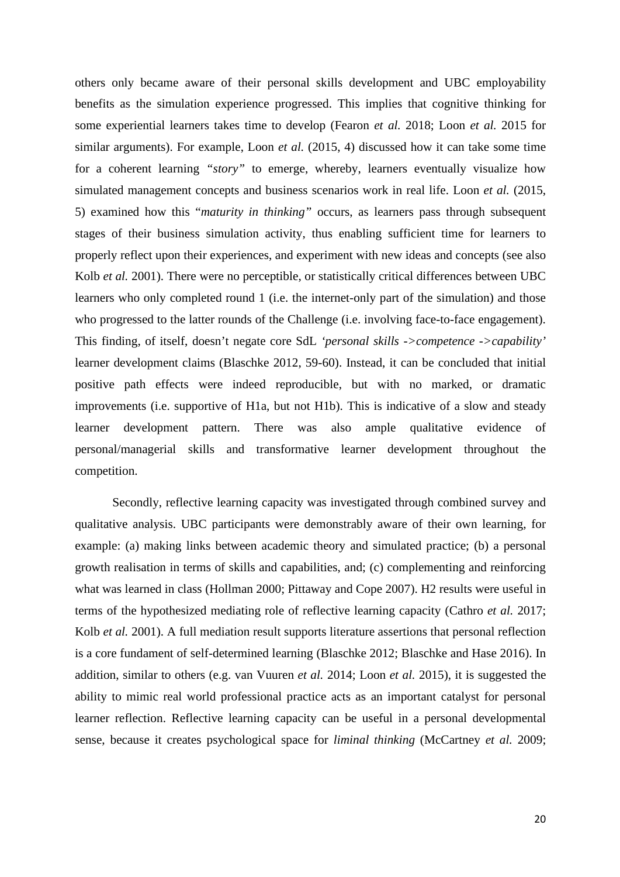others only became aware of their personal skills development and UBC employability benefits as the simulation experience progressed. This implies that cognitive thinking for some experiential learners takes time to develop (Fearon *et al.* 2018; Loon *et al.* 2015 for similar arguments). For example, Loon *et al.* (2015, 4) discussed how it can take some time for a coherent learning *"story"* to emerge, whereby, learners eventually visualize how simulated management concepts and business scenarios work in real life. Loon *et al.* (2015, 5) examined how this "*maturity in thinking"* occurs, as learners pass through subsequent stages of their business simulation activity, thus enabling sufficient time for learners to properly reflect upon their experiences, and experiment with new ideas and concepts (see also Kolb *et al.* 2001). There were no perceptible, or statistically critical differences between UBC learners who only completed round 1 (i.e. the internet-only part of the simulation) and those who progressed to the latter rounds of the Challenge (i.e. involving face-to-face engagement). This finding, of itself, doesn't negate core SdL *'personal skills ->competence ->capability'* learner development claims (Blaschke 2012, 59-60). Instead, it can be concluded that initial positive path effects were indeed reproducible, but with no marked, or dramatic improvements (i.e. supportive of H1a, but not H1b). This is indicative of a slow and steady learner development pattern. There was also ample qualitative evidence of personal/managerial skills and transformative learner development throughout the competition.

Secondly, reflective learning capacity was investigated through combined survey and qualitative analysis. UBC participants were demonstrably aware of their own learning, for example: (a) making links between academic theory and simulated practice; (b) a personal growth realisation in terms of skills and capabilities, and; (c) complementing and reinforcing what was learned in class (Hollman 2000; Pittaway and Cope 2007). H2 results were useful in terms of the hypothesized mediating role of reflective learning capacity (Cathro *et al.* 2017; Kolb *et al.* 2001). A full mediation result supports literature assertions that personal reflection is a core fundament of self-determined learning (Blaschke 2012; Blaschke and Hase 2016). In addition, similar to others (e.g. van Vuuren *et al.* 2014; Loon *et al.* 2015), it is suggested the ability to mimic real world professional practice acts as an important catalyst for personal learner reflection. Reflective learning capacity can be useful in a personal developmental sense, because it creates psychological space for *liminal thinking* (McCartney *et al.* 2009;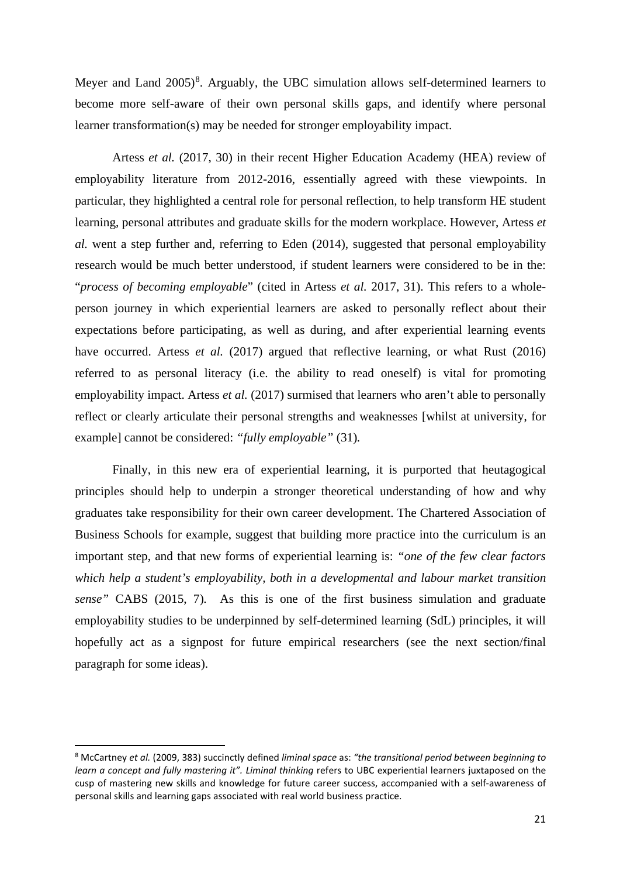Meyer and Land  $2005)^8$  $2005)^8$ . Arguably, the UBC simulation allows self-determined learners to become more self-aware of their own personal skills gaps, and identify where personal learner transformation(s) may be needed for stronger employability impact.

Artess *et al.* (2017, 30) in their recent Higher Education Academy (HEA) review of employability literature from 2012-2016, essentially agreed with these viewpoints. In particular, they highlighted a central role for personal reflection*,* to help transform HE student learning, personal attributes and graduate skills for the modern workplace. However, Artess *et al.* went a step further and, referring to Eden (2014), suggested that personal employability research would be much better understood, if student learners were considered to be in the: "*process of becoming employable*" (cited in Artess *et al.* 2017, 31). This refers to a wholeperson journey in which experiential learners are asked to personally reflect about their expectations before participating, as well as during, and after experiential learning events have occurred. Artess *et al.* (2017) argued that reflective learning*,* or what Rust (2016) referred to as personal literacy (i.e. the ability to read oneself) is vital for promoting employability impact. Artess *et al.* (2017) surmised that learners who aren't able to personally reflect or clearly articulate their personal strengths and weaknesses [whilst at university, for example] cannot be considered: *"fully employable"* (31)*.*

Finally, in this new era of experiential learning, it is purported that heutagogical principles should help to underpin a stronger theoretical understanding of how and why graduates take responsibility for their own career development. The Chartered Association of Business Schools for example, suggest that building more practice into the curriculum is an important step, and that new forms of experiential learning is: *"one of the few clear factors which help a student's employability, both in a developmental and labour market transition sense"* CABS (2015, 7)*.* As this is one of the first business simulation and graduate employability studies to be underpinned by self-determined learning (SdL) principles, it will hopefully act as a signpost for future empirical researchers (see the next section/final paragraph for some ideas).

<span id="page-21-0"></span><sup>8</sup> McCartney *et al.* (2009, 383) succinctly defined *liminal space* as: *"the transitional period between beginning to learn a concept and fully mastering it". Liminal thinking* refers to UBC experiential learners juxtaposed on the cusp of mastering new skills and knowledge for future career success, accompanied with a self-awareness of personal skills and learning gaps associated with real world business practice.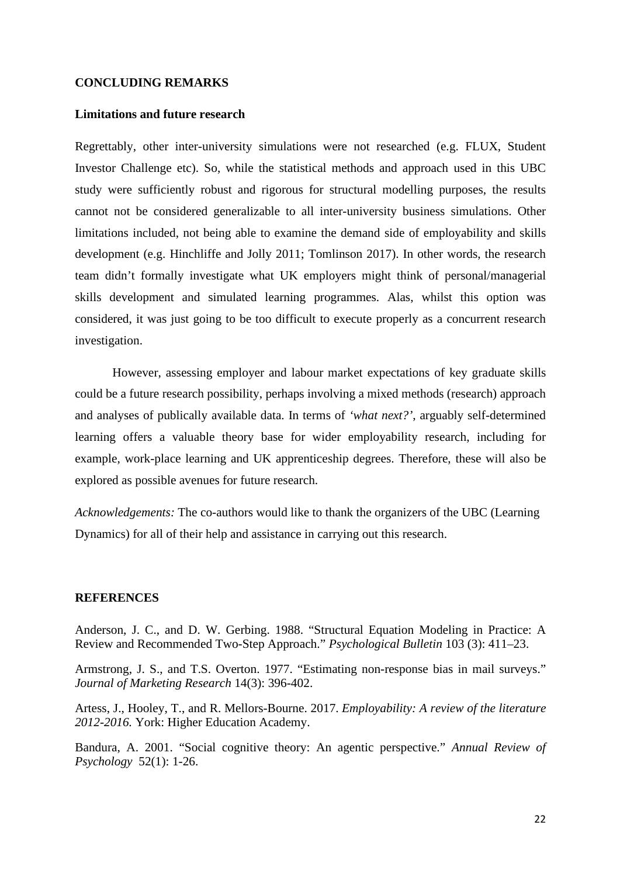#### **CONCLUDING REMARKS**

#### **Limitations and future research**

Regrettably, other inter-university simulations were not researched (e.g. FLUX, Student Investor Challenge etc). So, while the statistical methods and approach used in this UBC study were sufficiently robust and rigorous for structural modelling purposes, the results cannot not be considered generalizable to all inter-university business simulations. Other limitations included, not being able to examine the demand side of employability and skills development (e.g. Hinchliffe and Jolly 2011; Tomlinson 2017). In other words, the research team didn't formally investigate what UK employers might think of personal/managerial skills development and simulated learning programmes. Alas, whilst this option was considered, it was just going to be too difficult to execute properly as a concurrent research investigation.

However, assessing employer and labour market expectations of key graduate skills could be a future research possibility, perhaps involving a mixed methods (research) approach and analyses of publically available data. In terms of *'what next?'*, arguably self-determined learning offers a valuable theory base for wider employability research, including for example, work-place learning and UK apprenticeship degrees. Therefore, these will also be explored as possible avenues for future research.

*Acknowledgements:* The co-authors would like to thank the organizers of the UBC (Learning Dynamics) for all of their help and assistance in carrying out this research.

#### **REFERENCES**

Anderson, J. C., and D. W. Gerbing. 1988. "Structural Equation Modeling in Practice: A Review and Recommended Two-Step Approach." *Psychological Bulletin* 103 (3): 411–23.

Armstrong, J. S., and T.S. Overton. 1977. "Estimating non-response bias in mail surveys." *Journal of Marketing Research* 14(3): 396-402.

Artess, J., Hooley, T., and R. Mellors-Bourne. 2017. *Employability: A review of the literature 2012-2016.* York: Higher Education Academy.

Bandura, A. 2001. "Social cognitive theory: An agentic perspective." *Annual Review of Psychology* 52(1): 1-26.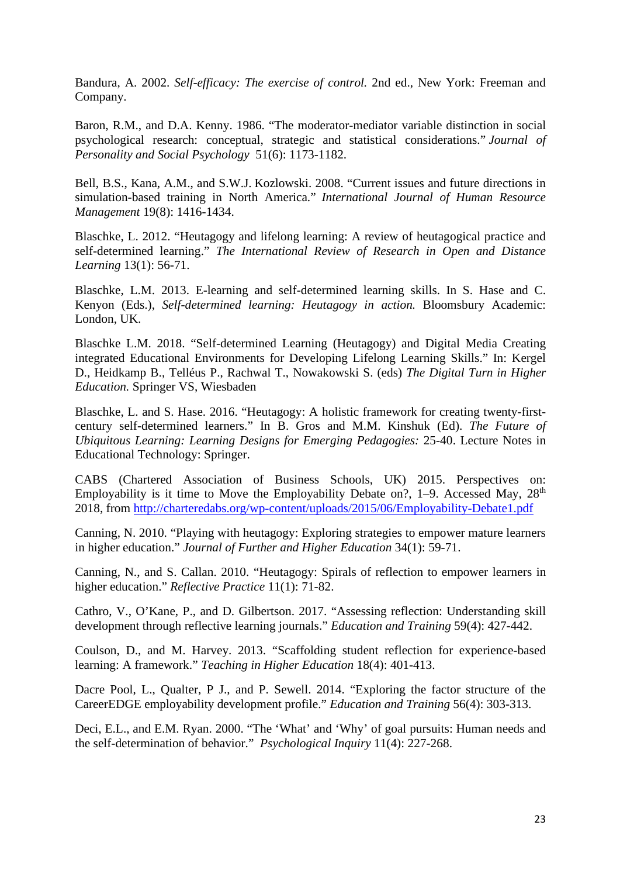Bandura, A. 2002. *Self-efficacy: The exercise of control.* 2nd ed., New York: Freeman and Company.

Baron, R.M., and D.A. Kenny. 1986. "The moderator-mediator variable distinction in social psychological research: conceptual, strategic and statistical considerations." *Journal of Personality and Social Psychology* 51(6): 1173-1182.

Bell, B.S., Kana, A.M., and S.W.J. Kozlowski. 2008. "Current issues and future directions in simulation-based training in North America." *International Journal of Human Resource Management* 19(8): 1416-1434.

Blaschke, L. 2012. "Heutagogy and lifelong learning: A review of heutagogical practice and self-determined learning." *The International Review of Research in Open and Distance Learning* 13(1): 56-71.

Blaschke, L.M. 2013. E-learning and self-determined learning skills. In S. Hase and C. Kenyon (Eds.), *Self-determined learning: Heutagogy in action.* Bloomsbury Academic: London, UK.

Blaschke L.M. 2018. "Self-determined Learning (Heutagogy) and Digital Media Creating integrated Educational Environments for Developing Lifelong Learning Skills." In: Kergel D., Heidkamp B., Telléus P., Rachwal T., Nowakowski S. (eds) *The Digital Turn in Higher Education.* Springer VS, Wiesbaden

Blaschke, L. and S. Hase. 2016. "Heutagogy: A holistic framework for creating twenty-firstcentury self-determined learners." In B. Gros and M.M. Kinshuk (Ed). *The Future of Ubiquitous Learning: Learning Designs for Emerging Pedagogies:* 25-40. Lecture Notes in Educational Technology: Springer.

CABS (Chartered Association of Business Schools, UK) 2015. Perspectives on: Employability is it time to Move the Employability Debate on?,  $1-9$ . Accessed May,  $28<sup>th</sup>$ 2018, from<http://charteredabs.org/wp-content/uploads/2015/06/Employability-Debate1.pdf>

Canning, N. 2010. "Playing with heutagogy: Exploring strategies to empower mature learners in higher education." *Journal of Further and Higher Education* 34(1): 59-71.

Canning, N., and S. Callan. 2010. "Heutagogy: Spirals of reflection to empower learners in higher education." *Reflective Practice* 11(1): 71-82.

Cathro, V., O'Kane, P., and D. Gilbertson. 2017. "Assessing reflection: Understanding skill development through reflective learning journals." *Education and Training* 59(4): 427-442.

Coulson, D., and M. Harvey. 2013. "Scaffolding student reflection for experience-based learning: A framework." *Teaching in Higher Education* 18(4): 401-413.

Dacre Pool, L., Qualter, P J., and P. Sewell. 2014. "Exploring the factor structure of the CareerEDGE employability development profile." *Education and Training* 56(4): 303-313.

Deci, E.L., and E.M. Ryan. 2000. "The 'What' and 'Why' of goal pursuits: Human needs and the self-determination of behavior." *Psychological Inquiry* 11(4): 227-268.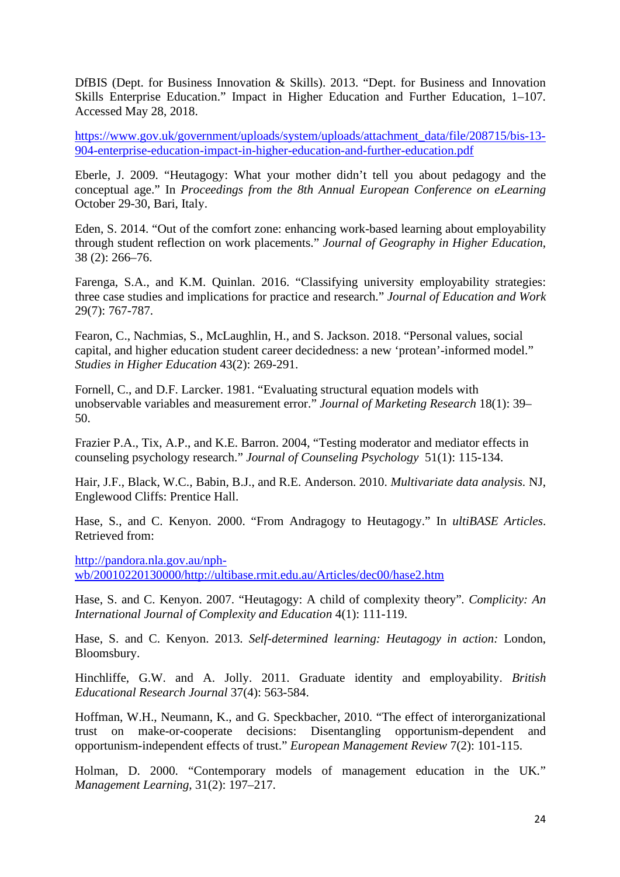DfBIS (Dept. for Business Innovation & Skills). 2013. "Dept. for Business and Innovation Skills Enterprise Education." Impact in Higher Education and Further Education, 1–107. Accessed May 28, 2018.

[https://www.gov.uk/government/uploads/system/uploads/attachment\\_data/file/208715/bis-13-](https://www.gov.uk/government/uploads/system/uploads/attachment_data/file/208715/bis-13-904-enterprise-education-impact-in-higher-education-and-further-education.pdf) [904-enterprise-education-impact-in-higher-education-and-further-education.pdf](https://www.gov.uk/government/uploads/system/uploads/attachment_data/file/208715/bis-13-904-enterprise-education-impact-in-higher-education-and-further-education.pdf)

Eberle, J. 2009. "Heutagogy: What your mother didn't tell you about pedagogy and the conceptual age." In *Proceedings from the 8th Annual European Conference on eLearning*  October 29-30, Bari, Italy.

Eden, S. 2014. "Out of the comfort zone: enhancing work-based learning about employability through student reflection on work placements." *Journal of Geography in Higher Education*, 38 (2): 266–76.

Farenga, S.A., and K.M. Quinlan. 2016. "Classifying university employability strategies: three case studies and implications for practice and research." *Journal of Education and Work* 29(7): 767-787.

Fearon, C., Nachmias, S., McLaughlin, H., and S. Jackson. 2018. "Personal values, social capital, and higher education student career decidedness: a new 'protean'-informed model." *Studies in Higher Education* 43(2): 269-291.

Fornell, C., and D.F. Larcker. 1981. "Evaluating structural equation models with unobservable variables and measurement error." *Journal of Marketing Research* 18(1): 39– 50.

Frazier P.A., Tix, A.P., and K.E. Barron. 2004, "Testing moderator and mediator effects in counseling psychology research." *Journal of Counseling Psychology* 51(1): 115-134.

Hair, J.F., Black, W.C., Babin, B.J., and R.E. Anderson. 2010. *Multivariate data analysis.* NJ, Englewood Cliffs: Prentice Hall.

Hase, S., and C. Kenyon. 2000. "From Andragogy to Heutagogy." In *ultiBASE Articles*. Retrieved from:

[http://pandora.nla.gov.au/nph](http://pandora.nla.gov.au/nph-wb/20010220130000/http:/ultibase.rmit.edu.au/Articles/dec00/hase2.htm)[wb/20010220130000/http://ultibase.rmit.edu.au/Articles/dec00/hase2.htm](http://pandora.nla.gov.au/nph-wb/20010220130000/http:/ultibase.rmit.edu.au/Articles/dec00/hase2.htm)

Hase, S. and C. Kenyon. 2007. "Heutagogy: A child of complexity theory"*. Complicity: An International Journal of Complexity and Education* 4(1): 111-119.

Hase, S. and C. Kenyon. 2013. *Self-determined learning: Heutagogy in action:* London, Bloomsbury.

Hinchliffe, G.W. and A. Jolly. 2011. Graduate identity and employability. *British Educational Research Journal* 37(4): 563-584.

Hoffman, W.H., Neumann, K., and G. Speckbacher, 2010. "The effect of interorganizational trust on make-or-cooperate decisions: Disentangling opportunism-dependent and opportunism-independent effects of trust." *European Management Review* 7(2): 101-115.

Holman, D. 2000. "Contemporary models of management education in the UK*.*" *Management Learning,* 31(2): 197–217.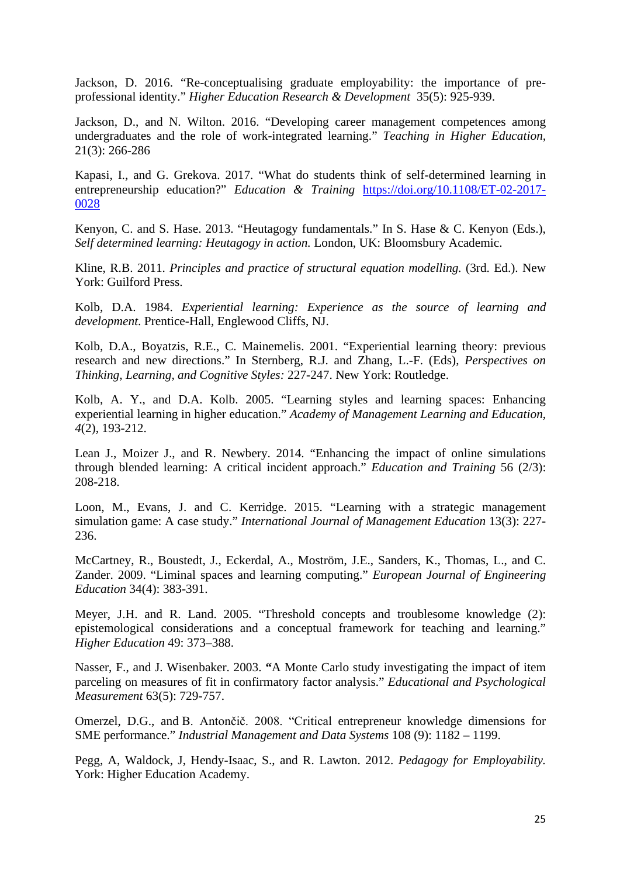Jackson, D. 2016. "Re-conceptualising graduate employability: the importance of preprofessional identity." *Higher Education Research & Development* 35(5): 925-939.

Jackson, D., and N. Wilton. 2016. "Developing career management competences among undergraduates and the role of work-integrated learning." *Teaching in Higher Education,* 21(3): 266-286

Kapasi, I., and G. Grekova. 2017. "What do students think of self-determined learning in entrepreneurship education?" *Education & Training* [https://doi.org/10.1108/ET-02-2017-](https://doi.org/10.1108/ET-02-2017-0028) [0028](https://doi.org/10.1108/ET-02-2017-0028)

Kenyon, C. and S. Hase. 2013. "Heutagogy fundamentals." In S. Hase & C. Kenyon (Eds.), *Self determined learning: Heutagogy in action.* London, UK: Bloomsbury Academic.

Kline, R.B. 2011. *Principles and practice of structural equation modelling.* (3rd. Ed.). New York: Guilford Press.

Kolb, D.A. 1984. *Experiential learning: Experience as the source of learning and development*. Prentice-Hall, Englewood Cliffs, NJ.

Kolb, D.A., Boyatzis, R.E., C. Mainemelis. 2001. "Experiential learning theory: previous research and new directions." In Sternberg, R.J. and Zhang, L.-F. (Eds), *Perspectives on Thinking, Learning, and Cognitive Styles:* 227-247. New York: Routledge.

Kolb, A. Y., and D.A. Kolb. 2005. "Learning styles and learning spaces: Enhancing experiential learning in higher education." *Academy of Management Learning and Education*, *4*(2), 193-212.

Lean J., Moizer J., and R. Newbery. 2014. "Enhancing the impact of online simulations through blended learning: A critical incident approach." *Education and Training* 56 (2/3): 208-218.

Loon, M., Evans, J. and C. Kerridge. 2015. "Learning with a strategic management simulation game: A case study." *International Journal of Management Education* 13(3): 227- 236.

McCartney, R., Boustedt, J., Eckerdal, A., Moström, J.E., Sanders, K., Thomas, L., and C. Zander. 2009. "Liminal spaces and learning computing." *European Journal of Engineering Education* 34(4): 383-391.

Meyer, J.H. and R. Land. 2005. "Threshold concepts and troublesome knowledge (2): epistemological considerations and a conceptual framework for teaching and learning." *Higher Education* 49: 373–388.

Nasser, F., and J. Wisenbaker. 2003. **"**A Monte Carlo study investigating the impact of item parceling on measures of fit in confirmatory factor analysis." *Educational and Psychological Measurement* 63(5): 729-757.

Omerzel, D.G., and B. Antončič. 2008. "Critical entrepreneur knowledge dimensions for SME performance." *Industrial Management and Data Systems* 108 (9): 1182 – 1199.

Pegg, A, Waldock, J, Hendy-Isaac, S., and R. Lawton. 2012. *Pedagogy for Employability.* York: Higher Education Academy.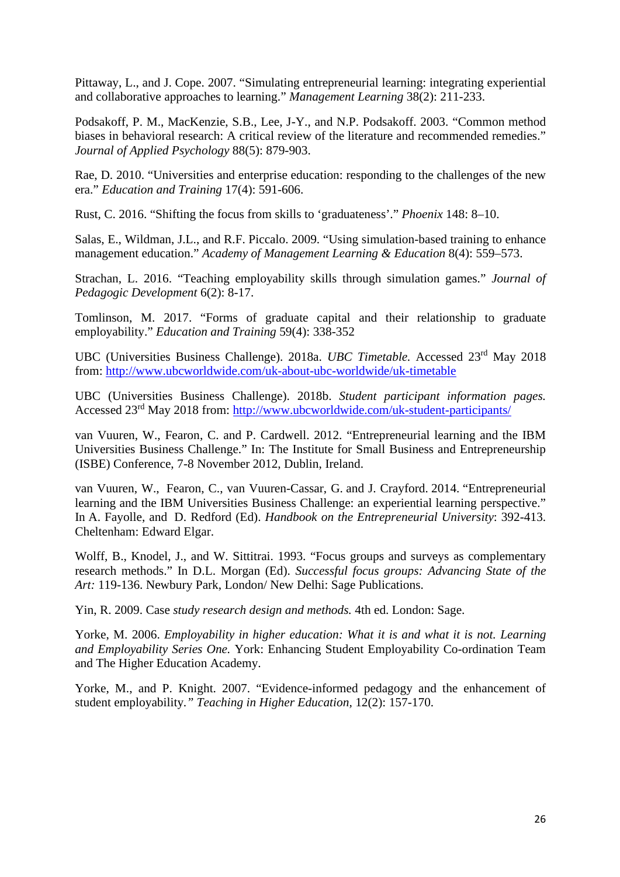Pittaway, L., and J. Cope. 2007. "Simulating entrepreneurial learning: integrating experiential and collaborative approaches to learning." *Management Learning* 38(2): 211-233.

Podsakoff, P. M., MacKenzie, S.B., Lee, J-Y., and N.P. Podsakoff. 2003. "Common method biases in behavioral research: A critical review of the literature and recommended remedies." *Journal of Applied Psychology* 88(5): 879-903.

Rae, D. 2010. "Universities and enterprise education: responding to the challenges of the new era." *Education and Training* 17(4): 591-606.

Rust, C. 2016. "Shifting the focus from skills to 'graduateness'." *Phoenix* 148: 8–10.

Salas, E., Wildman, J.L., and R.F. Piccalo. 2009. "Using simulation-based training to enhance management education." *Academy of Management Learning & Education* 8(4): 559–573.

Strachan, L. 2016. "Teaching employability skills through simulation games." *Journal of Pedagogic Development* 6(2): 8-17.

Tomlinson, M. 2017. "Forms of graduate capital and their relationship to graduate employability." *Education and Training* 59(4): 338-352

UBC (Universities Business Challenge). 2018a. *UBC Timetable.* Accessed 23rd May 2018 from:<http://www.ubcworldwide.com/uk-about-ubc-worldwide/uk-timetable>

UBC (Universities Business Challenge). 2018b. *Student participant information pages.* Accessed 23rd May 2018 from: <http://www.ubcworldwide.com/uk-student-participants/>

van Vuuren, W., Fearon, C. and P. Cardwell. 2012. "Entrepreneurial learning and the IBM Universities Business Challenge." In: The Institute for Small Business and Entrepreneurship (ISBE) Conference, 7-8 November 2012, Dublin, Ireland.

van Vuuren, W., Fearon, C., van Vuuren-Cassar, G. and J. Crayford. 2014. "Entrepreneurial learning and the IBM Universities Business Challenge: an experiential learning perspective." In A. Fayolle, and D. Redford (Ed). *Handbook on the Entrepreneurial University*: 392-413. Cheltenham: Edward Elgar.

Wolff, B., Knodel, J., and W. Sittitrai. 1993. "Focus groups and surveys as complementary research methods." In D.L. Morgan (Ed). *Successful focus groups: Advancing State of the Art:* 119-136. Newbury Park, London/ New Delhi: Sage Publications.

Yin, R. 2009. Case *study research design and methods.* 4th ed. London: Sage.

Yorke, M. 2006. *Employability in higher education: What it is and what it is not. Learning and Employability Series One.* York: Enhancing Student Employability Co-ordination Team and The Higher Education Academy.

Yorke, M., and P. Knight. 2007. "Evidence-informed pedagogy and the enhancement of student employability*." Teaching in Higher Education,* 12(2): 157-170.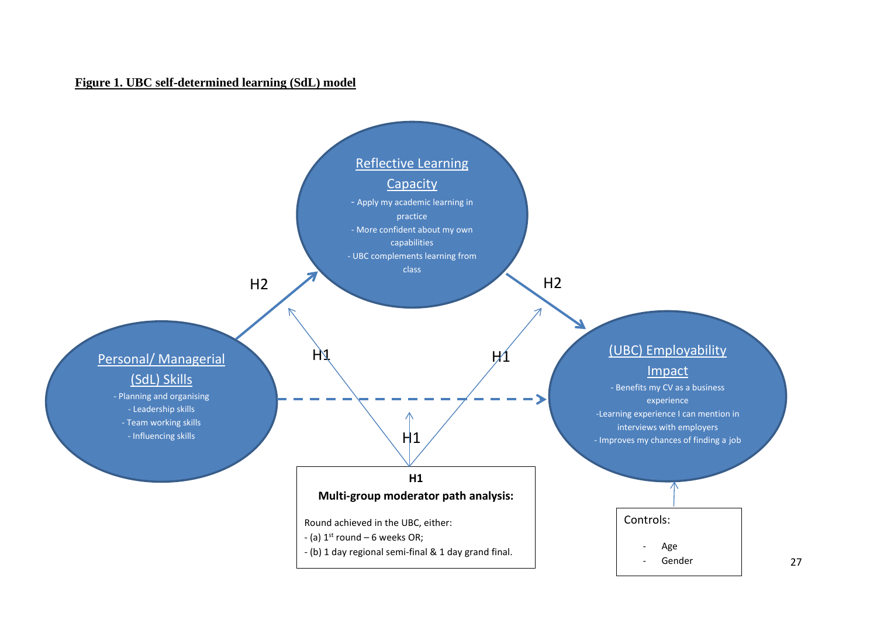#### **Figure 1. UBC self-determined learning (SdL) model**

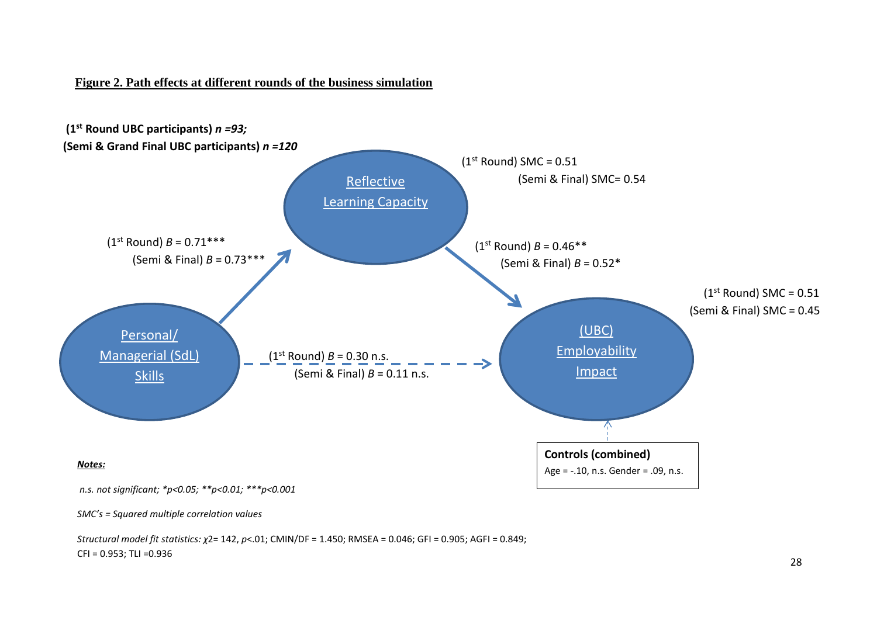#### **Figure 2. Path effects at different rounds of the business simulation**



*SMC's = Squared multiple correlation values*

*Structural model fit statistics: χ*2= 142, *p*<.01; CMIN/DF = 1.450; RMSEA = 0.046; GFI = 0.905; AGFI = 0.849; CFI = 0.953; TLI =0.936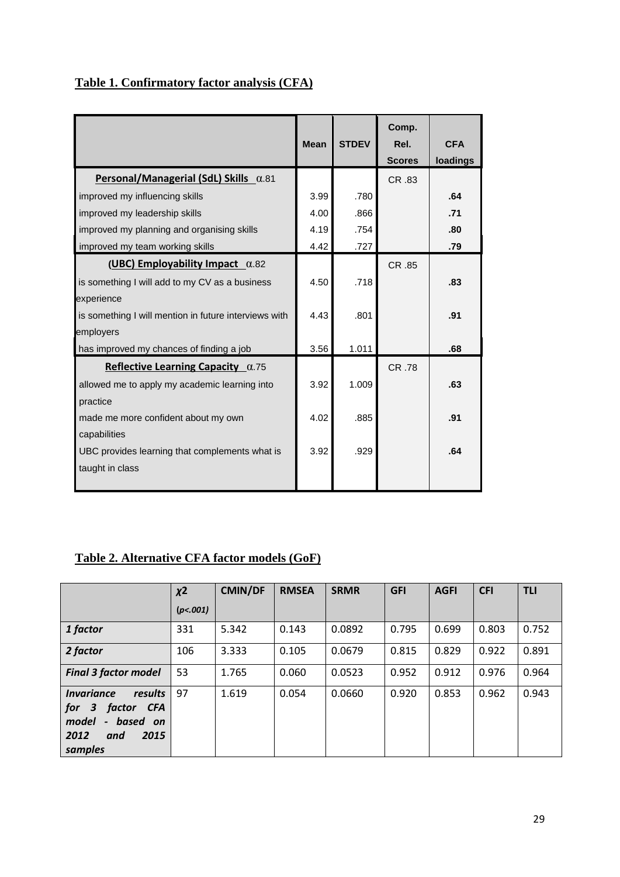## **Table 1. Confirmatory factor analysis (CFA)**

|                                                       | <b>Mean</b> | <b>STDEV</b> | Comp.<br>Rel.<br><b>Scores</b> | <b>CFA</b><br>loadings |
|-------------------------------------------------------|-------------|--------------|--------------------------------|------------------------|
| Personal/Managerial (SdL) Skills $\alpha$ .81         |             |              | CR .83                         |                        |
| improved my influencing skills                        | 3.99        | .780         |                                | .64                    |
| improved my leadership skills                         | 4.00        | .866         |                                | .71                    |
| improved my planning and organising skills            | 4.19        | .754         |                                | .80                    |
| improved my team working skills                       | 4.42        | .727         |                                | .79                    |
| (UBC) Employability Impact $\alpha$ .82               |             |              | CR .85                         |                        |
| is something I will add to my CV as a business        | 4.50        | .718         |                                | .83                    |
| experience                                            |             |              |                                |                        |
| is something I will mention in future interviews with | 4.43        | .801         |                                | .91                    |
| employers                                             |             |              |                                |                        |
| has improved my chances of finding a job              | 3.56        | 1.011        |                                | .68                    |
| Reflective Learning Capacity $\alpha$ .75             |             |              | CR .78                         |                        |
| allowed me to apply my academic learning into         | 3.92        | 1.009        |                                | .63                    |
| practice                                              |             |              |                                |                        |
| made me more confident about my own                   | 4.02        | .885         |                                | .91                    |
| capabilities                                          |             |              |                                |                        |
| UBC provides learning that complements what is        | 3.92        | .929         |                                | .64                    |
| taught in class                                       |             |              |                                |                        |
|                                                       |             |              |                                |                        |

## **Table 2. Alternative CFA factor models (GoF)**

|                                                                                                                            | $x^2$    | <b>CMIN/DF</b> | <b>RMSEA</b> | <b>SRMR</b> | <b>GFI</b> | <b>AGFI</b> | <b>CFI</b> | <b>TLI</b> |
|----------------------------------------------------------------------------------------------------------------------------|----------|----------------|--------------|-------------|------------|-------------|------------|------------|
|                                                                                                                            | (p<.001) |                |              |             |            |             |            |            |
| 1 factor                                                                                                                   | 331      | 5.342          | 0.143        | 0.0892      | 0.795      | 0.699       | 0.803      | 0.752      |
| 2 factor                                                                                                                   | 106      | 3.333          | 0.105        | 0.0679      | 0.815      | 0.829       | 0.922      | 0.891      |
| <b>Final 3 factor model</b>                                                                                                | 53       | 1.765          | 0.060        | 0.0523      | 0.952      | 0.912       | 0.976      | 0.964      |
| results<br><b>Invariance</b><br>factor CFA<br>for<br>$\mathbf{3}$<br>- based on<br>model<br>2012<br>2015<br>and<br>samples | 97       | 1.619          | 0.054        | 0.0660      | 0.920      | 0.853       | 0.962      | 0.943      |